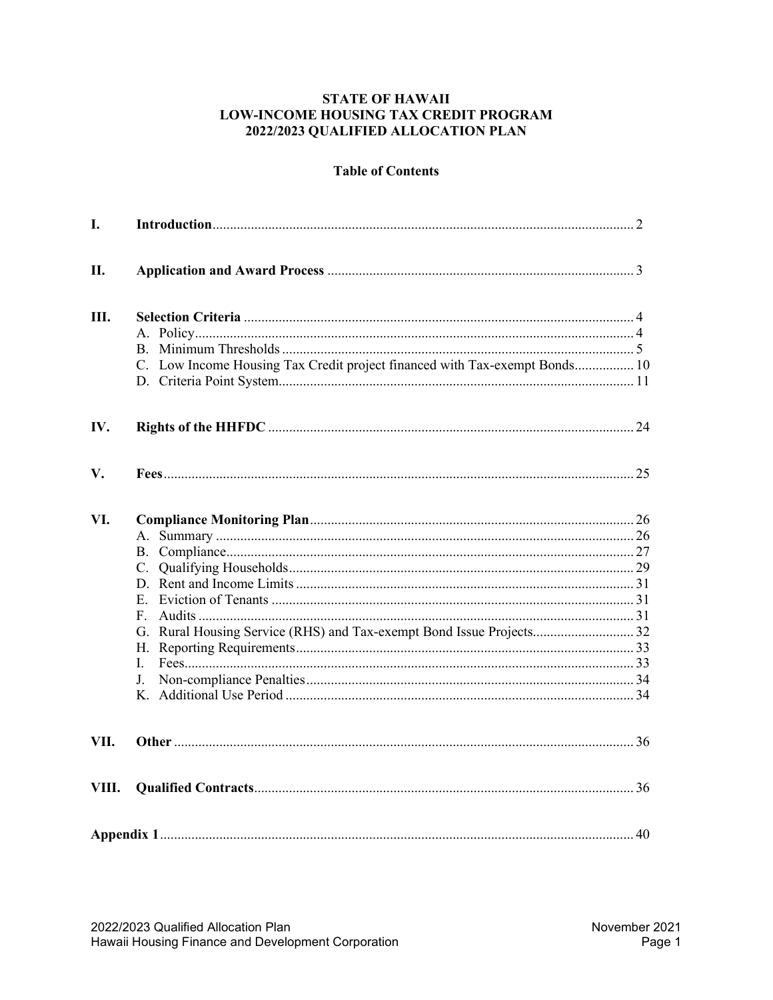#### **STATE OF HAWAII LOW-INCOME HOUSING TAX CREDIT PROGRAM** 2022/2023 QUALIFIED ALLOCATION PLAN

# **Table of Contents**

| I.    |                                                                            |  |
|-------|----------------------------------------------------------------------------|--|
| II.   |                                                                            |  |
| Ш.    | C. Low Income Housing Tax Credit project financed with Tax-exempt Bonds 10 |  |
| IV.   |                                                                            |  |
| V.    |                                                                            |  |
| VI.   | F.<br>L.<br>J.                                                             |  |
| VII.  |                                                                            |  |
| VIII. |                                                                            |  |
|       |                                                                            |  |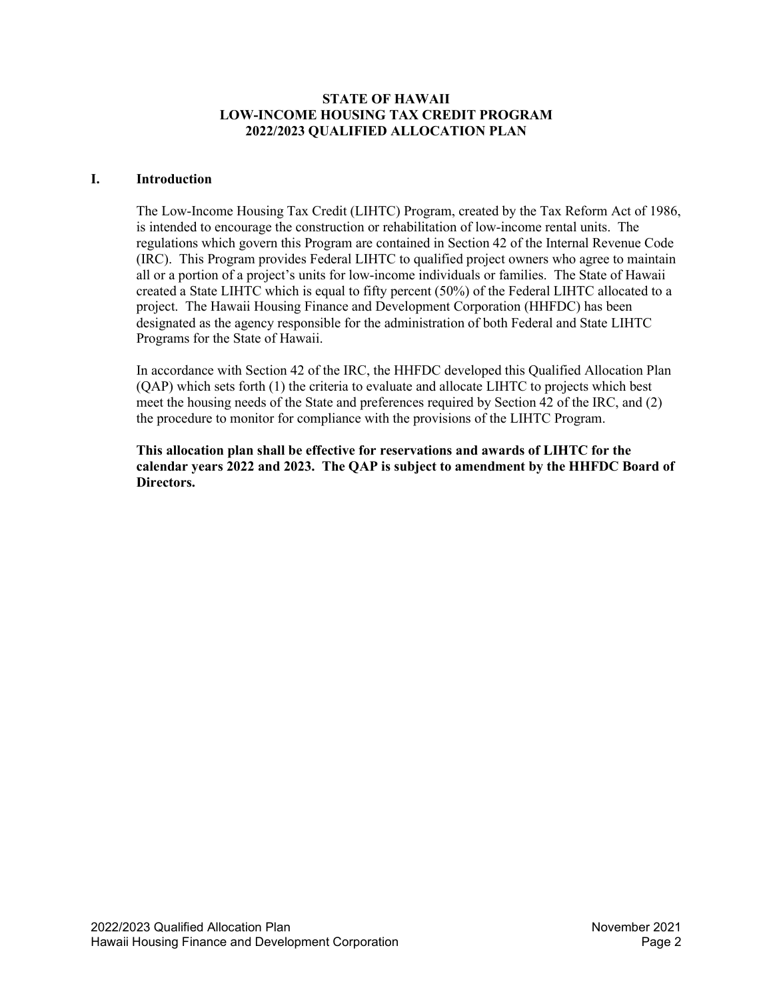#### **STATE OF HAWAII LOW-INCOME HOUSING TAX CREDIT PROGRAM 2022/2023 QUALIFIED ALLOCATION PLAN**

#### <span id="page-1-0"></span>**I. Introduction**

The Low-Income Housing Tax Credit (LIHTC) Program, created by the Tax Reform Act of 1986, is intended to encourage the construction or rehabilitation of low-income rental units. The regulations which govern this Program are contained in Section 42 of the Internal Revenue Code (IRC). This Program provides Federal LIHTC to qualified project owners who agree to maintain all or a portion of a project's units for low-income individuals or families. The State of Hawaii created a State LIHTC which is equal to fifty percent (50%) of the Federal LIHTC allocated to a project. The Hawaii Housing Finance and Development Corporation (HHFDC) has been designated as the agency responsible for the administration of both Federal and State LIHTC Programs for the State of Hawaii.

In accordance with Section 42 of the IRC, the HHFDC developed this Qualified Allocation Plan (QAP) which sets forth (1) the criteria to evaluate and allocate LIHTC to projects which best meet the housing needs of the State and preferences required by Section 42 of the IRC, and (2) the procedure to monitor for compliance with the provisions of the LIHTC Program.

**This allocation plan shall be effective for reservations and awards of LIHTC for the calendar years 2022 and 2023. The QAP is subject to amendment by the HHFDC Board of Directors.**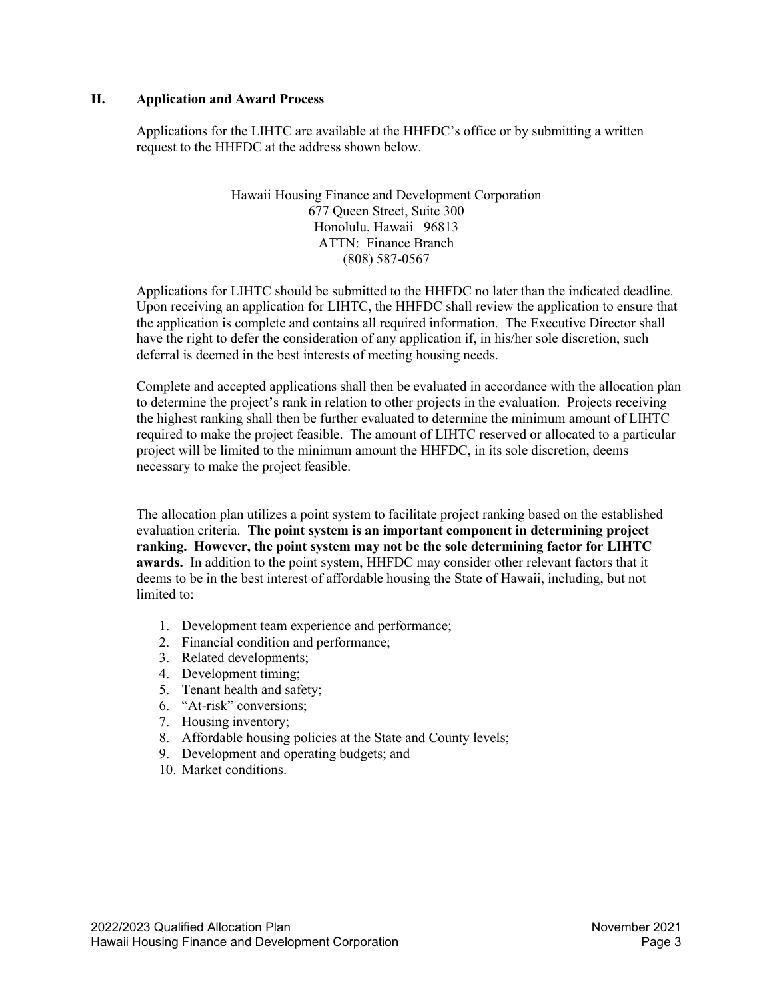#### <span id="page-2-0"></span>**II. Application and Award Process**

Applications for the LIHTC are available at the HHFDC's office or by submitting a written request to the HHFDC at the address shown below.

> Hawaii Housing Finance and Development Corporation 677 Queen Street, Suite 300 Honolulu, Hawaii 96813 ATTN: Finance Branch (808) 587-0567

Applications for LIHTC should be submitted to the HHFDC no later than the indicated deadline. Upon receiving an application for LIHTC, the HHFDC shall review the application to ensure that the application is complete and contains all required information. The Executive Director shall have the right to defer the consideration of any application if, in his/her sole discretion, such deferral is deemed in the best interests of meeting housing needs.

Complete and accepted applications shall then be evaluated in accordance with the allocation plan to determine the project's rank in relation to other projects in the evaluation. Projects receiving the highest ranking shall then be further evaluated to determine the minimum amount of LIHTC required to make the project feasible. The amount of LIHTC reserved or allocated to a particular project will be limited to the minimum amount the HHFDC, in its sole discretion, deems necessary to make the project feasible.

The allocation plan utilizes a point system to facilitate project ranking based on the established evaluation criteria. **The point system is an important component in determining project ranking. However, the point system may not be the sole determining factor for LIHTC awards.** In addition to the point system, HHFDC may consider other relevant factors that it deems to be in the best interest of affordable housing the State of Hawaii, including, but not limited to:

- 1. Development team experience and performance;
- 2. Financial condition and performance;
- 3. Related developments;
- 4. Development timing;
- 5. Tenant health and safety;
- 6. "At-risk" conversions;
- 7. Housing inventory;
- 8. Affordable housing policies at the State and County levels;
- 9. Development and operating budgets; and
- 10. Market conditions.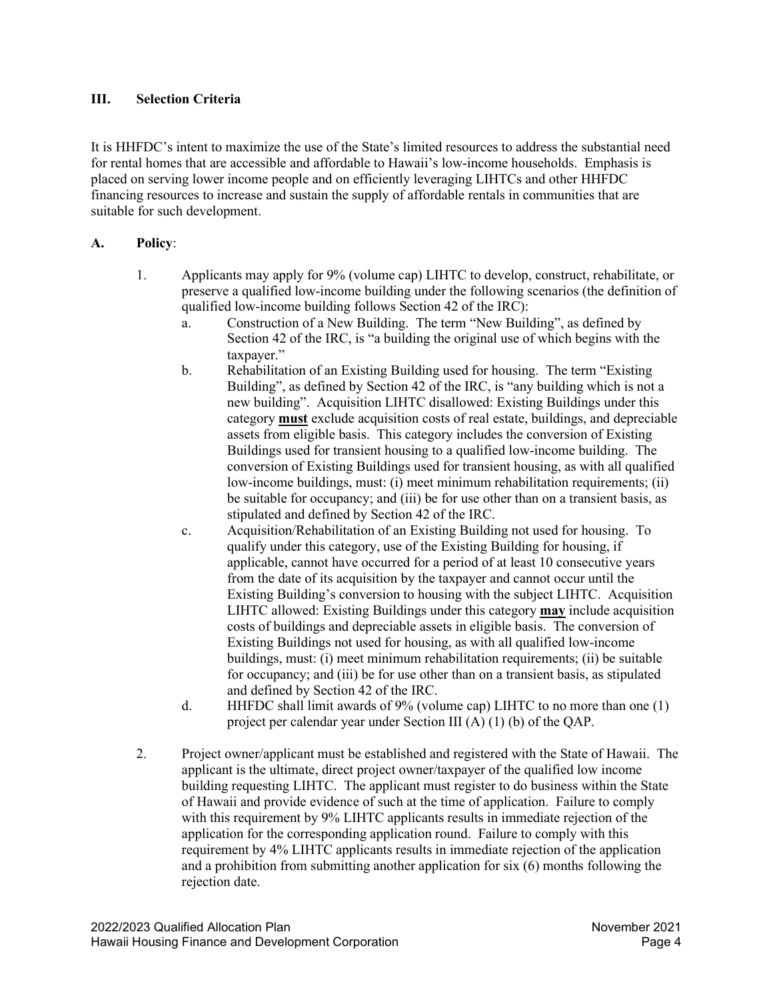# <span id="page-3-0"></span>**III. Selection Criteria**

It is HHFDC's intent to maximize the use of the State's limited resources to address the substantial need for rental homes that are accessible and affordable to Hawaii's low-income households. Emphasis is placed on serving lower income people and on efficiently leveraging LIHTCs and other HHFDC financing resources to increase and sustain the supply of affordable rentals in communities that are suitable for such development.

# <span id="page-3-1"></span>**A. Policy**:

- 1. Applicants may apply for 9% (volume cap) LIHTC to develop, construct, rehabilitate, or preserve a qualified low-income building under the following scenarios (the definition of qualified low-income building follows Section 42 of the IRC):
	- a. Construction of a New Building. The term "New Building", as defined by Section 42 of the IRC, is "a building the original use of which begins with the taxpayer."
	- b. Rehabilitation of an Existing Building used for housing. The term "Existing Building", as defined by Section 42 of the IRC, is "any building which is not a new building". Acquisition LIHTC disallowed: Existing Buildings under this category **must** exclude acquisition costs of real estate, buildings, and depreciable assets from eligible basis. This category includes the conversion of Existing Buildings used for transient housing to a qualified low-income building. The conversion of Existing Buildings used for transient housing, as with all qualified low-income buildings, must: (i) meet minimum rehabilitation requirements; (ii) be suitable for occupancy; and (iii) be for use other than on a transient basis, as stipulated and defined by Section 42 of the IRC.
	- c. Acquisition/Rehabilitation of an Existing Building not used for housing. To qualify under this category, use of the Existing Building for housing, if applicable, cannot have occurred for a period of at least 10 consecutive years from the date of its acquisition by the taxpayer and cannot occur until the Existing Building's conversion to housing with the subject LIHTC. Acquisition LIHTC allowed: Existing Buildings under this category **may** include acquisition costs of buildings and depreciable assets in eligible basis. The conversion of Existing Buildings not used for housing, as with all qualified low-income buildings, must: (i) meet minimum rehabilitation requirements; (ii) be suitable for occupancy; and (iii) be for use other than on a transient basis, as stipulated and defined by Section 42 of the IRC.
	- d. HHFDC shall limit awards of 9% (volume cap) LIHTC to no more than one (1) project per calendar year under Section III (A) (1) (b) of the QAP.
- 2. Project owner/applicant must be established and registered with the State of Hawaii. The applicant is the ultimate, direct project owner/taxpayer of the qualified low income building requesting LIHTC. The applicant must register to do business within the State of Hawaii and provide evidence of such at the time of application. Failure to comply with this requirement by 9% LIHTC applicants results in immediate rejection of the application for the corresponding application round. Failure to comply with this requirement by 4% LIHTC applicants results in immediate rejection of the application and a prohibition from submitting another application for six (6) months following the rejection date.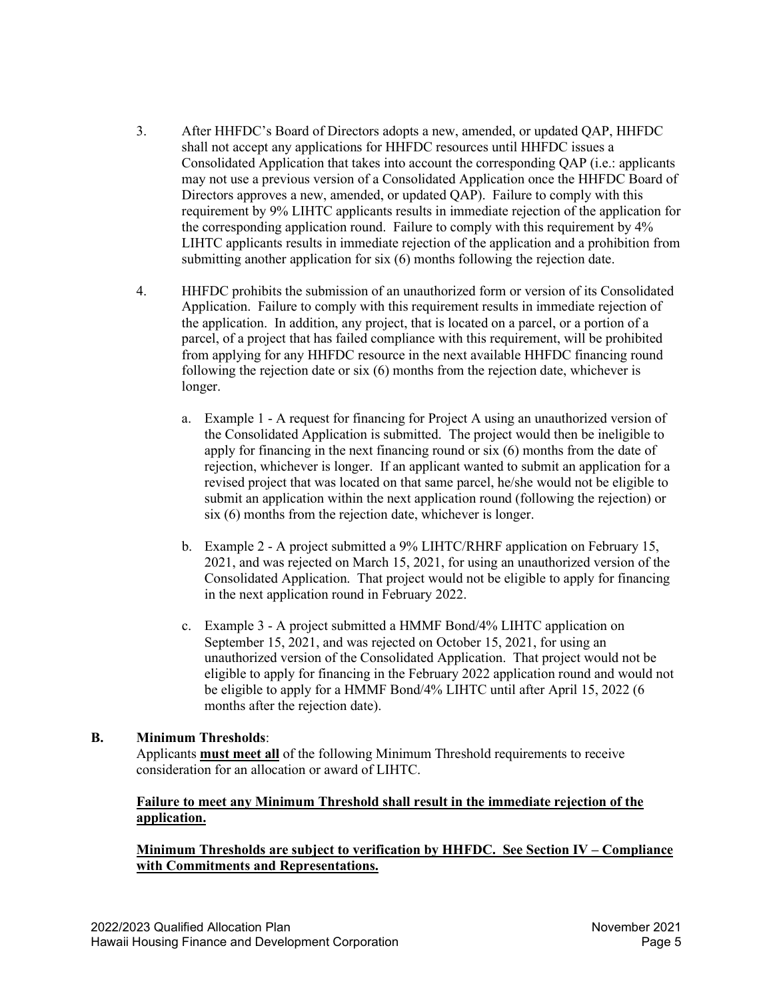- 3. After HHFDC's Board of Directors adopts a new, amended, or updated QAP, HHFDC shall not accept any applications for HHFDC resources until HHFDC issues a Consolidated Application that takes into account the corresponding QAP (i.e.: applicants may not use a previous version of a Consolidated Application once the HHFDC Board of Directors approves a new, amended, or updated QAP). Failure to comply with this requirement by 9% LIHTC applicants results in immediate rejection of the application for the corresponding application round. Failure to comply with this requirement by 4% LIHTC applicants results in immediate rejection of the application and a prohibition from submitting another application for six (6) months following the rejection date.
- 4. HHFDC prohibits the submission of an unauthorized form or version of its Consolidated Application. Failure to comply with this requirement results in immediate rejection of the application. In addition, any project, that is located on a parcel, or a portion of a parcel, of a project that has failed compliance with this requirement, will be prohibited from applying for any HHFDC resource in the next available HHFDC financing round following the rejection date or six (6) months from the rejection date, whichever is longer.
	- a. Example 1 A request for financing for Project A using an unauthorized version of the Consolidated Application is submitted. The project would then be ineligible to apply for financing in the next financing round or six (6) months from the date of rejection, whichever is longer. If an applicant wanted to submit an application for a revised project that was located on that same parcel, he/she would not be eligible to submit an application within the next application round (following the rejection) or six (6) months from the rejection date, whichever is longer.
	- b. Example 2 A project submitted a 9% LIHTC/RHRF application on February 15, 2021, and was rejected on March 15, 2021, for using an unauthorized version of the Consolidated Application. That project would not be eligible to apply for financing in the next application round in February 2022.
	- c. Example 3 A project submitted a HMMF Bond/4% LIHTC application on September 15, 2021, and was rejected on October 15, 2021, for using an unauthorized version of the Consolidated Application. That project would not be eligible to apply for financing in the February 2022 application round and would not be eligible to apply for a HMMF Bond/4% LIHTC until after April 15, 2022 (6 months after the rejection date).

# <span id="page-4-0"></span>**B. Minimum Thresholds**:

Applicants **must meet all** of the following Minimum Threshold requirements to receive consideration for an allocation or award of LIHTC.

## **Failure to meet any Minimum Threshold shall result in the immediate rejection of the application.**

# **Minimum Thresholds are subject to verification by HHFDC. See Section IV – Compliance with Commitments and Representations.**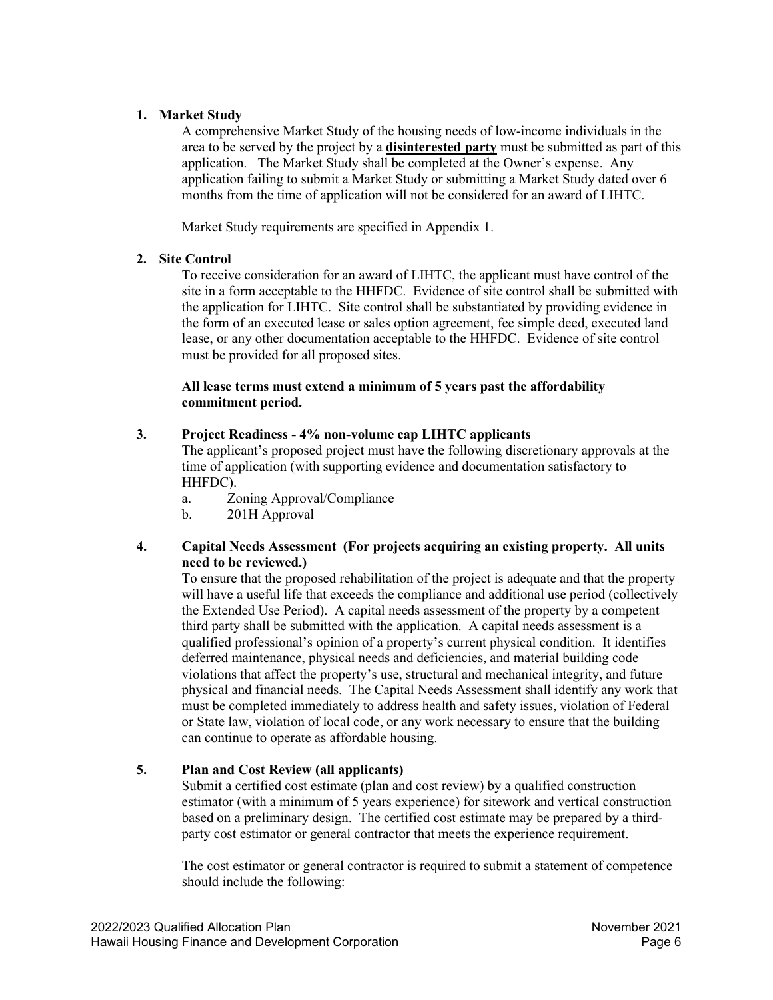# **1. Market Study**

A comprehensive Market Study of the housing needs of low-income individuals in the area to be served by the project by a **disinterested party** must be submitted as part of this application. The Market Study shall be completed at the Owner's expense. Any application failing to submit a Market Study or submitting a Market Study dated over 6 months from the time of application will not be considered for an award of LIHTC.

Market Study requirements are specified in Appendix 1.

# **2. Site Control**

To receive consideration for an award of LIHTC, the applicant must have control of the site in a form acceptable to the HHFDC. Evidence of site control shall be submitted with the application for LIHTC. Site control shall be substantiated by providing evidence in the form of an executed lease or sales option agreement, fee simple deed, executed land lease, or any other documentation acceptable to the HHFDC. Evidence of site control must be provided for all proposed sites.

## **All lease terms must extend a minimum of 5 years past the affordability commitment period.**

# **3. Project Readiness - 4% non-volume cap LIHTC applicants**

The applicant's proposed project must have the following discretionary approvals at the time of application (with supporting evidence and documentation satisfactory to HHFDC).

- a. Zoning Approval/Compliance
- b. 201H Approval

## **4. Capital Needs Assessment (For projects acquiring an existing property. All units need to be reviewed.)**

To ensure that the proposed rehabilitation of the project is adequate and that the property will have a useful life that exceeds the compliance and additional use period (collectively the Extended Use Period). A capital needs assessment of the property by a competent third party shall be submitted with the application. A capital needs assessment is a qualified professional's opinion of a property's current physical condition. It identifies deferred maintenance, physical needs and deficiencies, and material building code violations that affect the property's use, structural and mechanical integrity, and future physical and financial needs. The Capital Needs Assessment shall identify any work that must be completed immediately to address health and safety issues, violation of Federal or State law, violation of local code, or any work necessary to ensure that the building can continue to operate as affordable housing.

# **5. Plan and Cost Review (all applicants)**

Submit a certified cost estimate (plan and cost review) by a qualified construction estimator (with a minimum of 5 years experience) for sitework and vertical construction based on a preliminary design. The certified cost estimate may be prepared by a thirdparty cost estimator or general contractor that meets the experience requirement.

The cost estimator or general contractor is required to submit a statement of competence should include the following: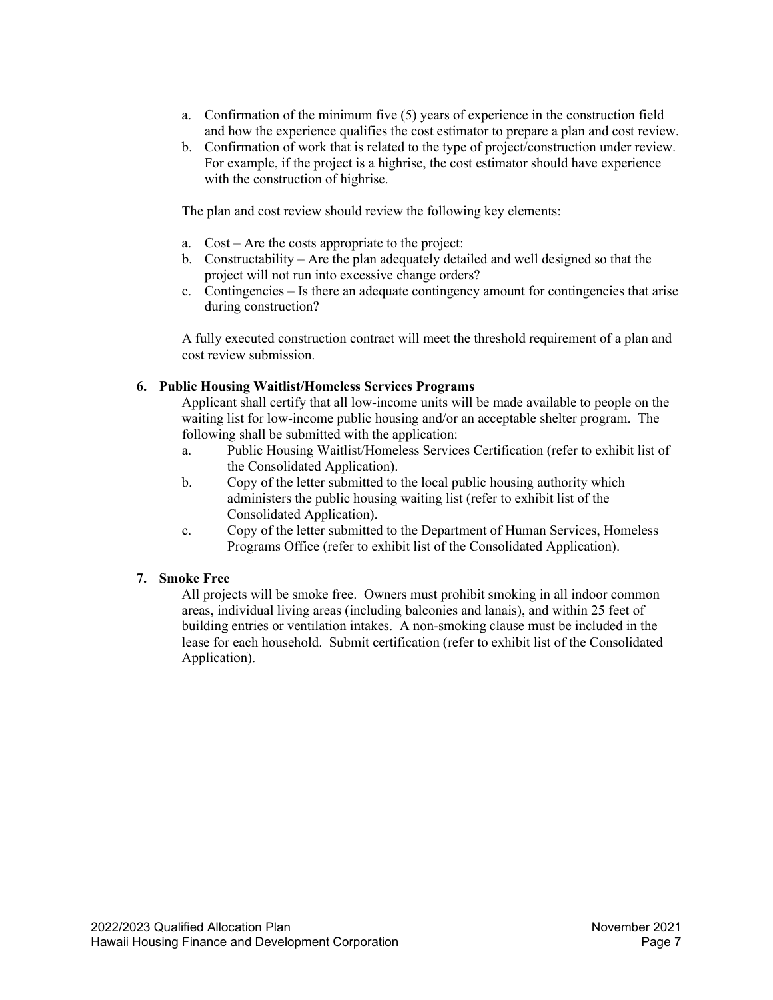- a. Confirmation of the minimum five (5) years of experience in the construction field and how the experience qualifies the cost estimator to prepare a plan and cost review.
- b. Confirmation of work that is related to the type of project/construction under review. For example, if the project is a highrise, the cost estimator should have experience with the construction of highrise.

The plan and cost review should review the following key elements:

- a. Cost Are the costs appropriate to the project:
- b. Constructability Are the plan adequately detailed and well designed so that the project will not run into excessive change orders?
- c. Contingencies Is there an adequate contingency amount for contingencies that arise during construction?

A fully executed construction contract will meet the threshold requirement of a plan and cost review submission.

# **6. Public Housing Waitlist/Homeless Services Programs**

Applicant shall certify that all low-income units will be made available to people on the waiting list for low-income public housing and/or an acceptable shelter program. The following shall be submitted with the application:

- a. Public Housing Waitlist/Homeless Services Certification (refer to exhibit list of the Consolidated Application).
- b. Copy of the letter submitted to the local public housing authority which administers the public housing waiting list (refer to exhibit list of the Consolidated Application).
- c. Copy of the letter submitted to the Department of Human Services, Homeless Programs Office (refer to exhibit list of the Consolidated Application).

# **7. Smoke Free**

All projects will be smoke free. Owners must prohibit smoking in all indoor common areas, individual living areas (including balconies and lanais), and within 25 feet of building entries or ventilation intakes. A non-smoking clause must be included in the lease for each household. Submit certification (refer to exhibit list of the Consolidated Application).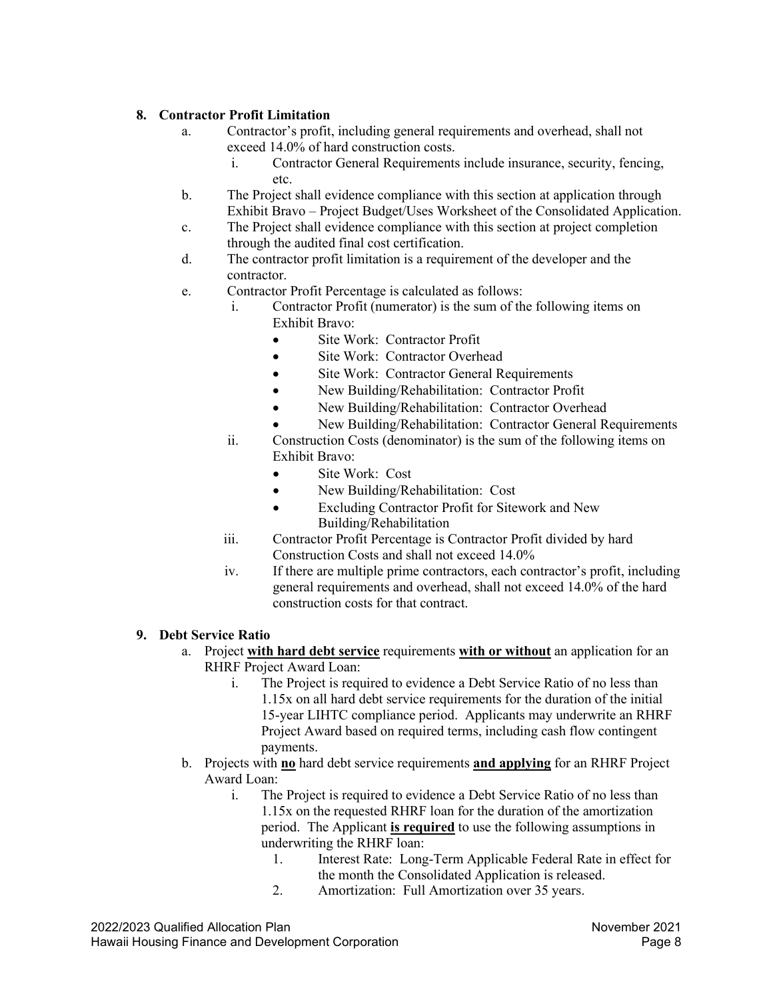# **8. Contractor Profit Limitation**

- a. Contractor's profit, including general requirements and overhead, shall not exceed 14.0% of hard construction costs.
	- i. Contractor General Requirements include insurance, security, fencing, etc.
- b. The Project shall evidence compliance with this section at application through Exhibit Bravo – Project Budget/Uses Worksheet of the Consolidated Application.
- c. The Project shall evidence compliance with this section at project completion through the audited final cost certification.
- d. The contractor profit limitation is a requirement of the developer and the contractor.
- e. Contractor Profit Percentage is calculated as follows:
	- i. Contractor Profit (numerator) is the sum of the following items on Exhibit Bravo:
		- Site Work: Contractor Profit
		- Site Work: Contractor Overhead
		- Site Work: Contractor General Requirements
		- New Building/Rehabilitation: Contractor Profit
		- New Building/Rehabilitation: Contractor Overhead
		- New Building/Rehabilitation: Contractor General Requirements
	- ii. Construction Costs (denominator) is the sum of the following items on Exhibit Bravo:
		- Site Work: Cost
		- New Building/Rehabilitation: Cost
		- Excluding Contractor Profit for Sitework and New Building/Rehabilitation
	- iii. Contractor Profit Percentage is Contractor Profit divided by hard Construction Costs and shall not exceed 14.0%
	- iv. If there are multiple prime contractors, each contractor's profit, including general requirements and overhead, shall not exceed 14.0% of the hard construction costs for that contract.

# **9. Debt Service Ratio**

- a. Project **with hard debt service** requirements **with or without** an application for an RHRF Project Award Loan:
	- i. The Project is required to evidence a Debt Service Ratio of no less than 1.15x on all hard debt service requirements for the duration of the initial 15-year LIHTC compliance period. Applicants may underwrite an RHRF Project Award based on required terms, including cash flow contingent payments.
- b. Projects with **no** hard debt service requirements **and applying** for an RHRF Project Award Loan:
	- i. The Project is required to evidence a Debt Service Ratio of no less than 1.15x on the requested RHRF loan for the duration of the amortization period. The Applicant **is required** to use the following assumptions in underwriting the RHRF loan:
		- 1. Interest Rate: Long-Term Applicable Federal Rate in effect for the month the Consolidated Application is released.
		- 2. Amortization: Full Amortization over 35 years.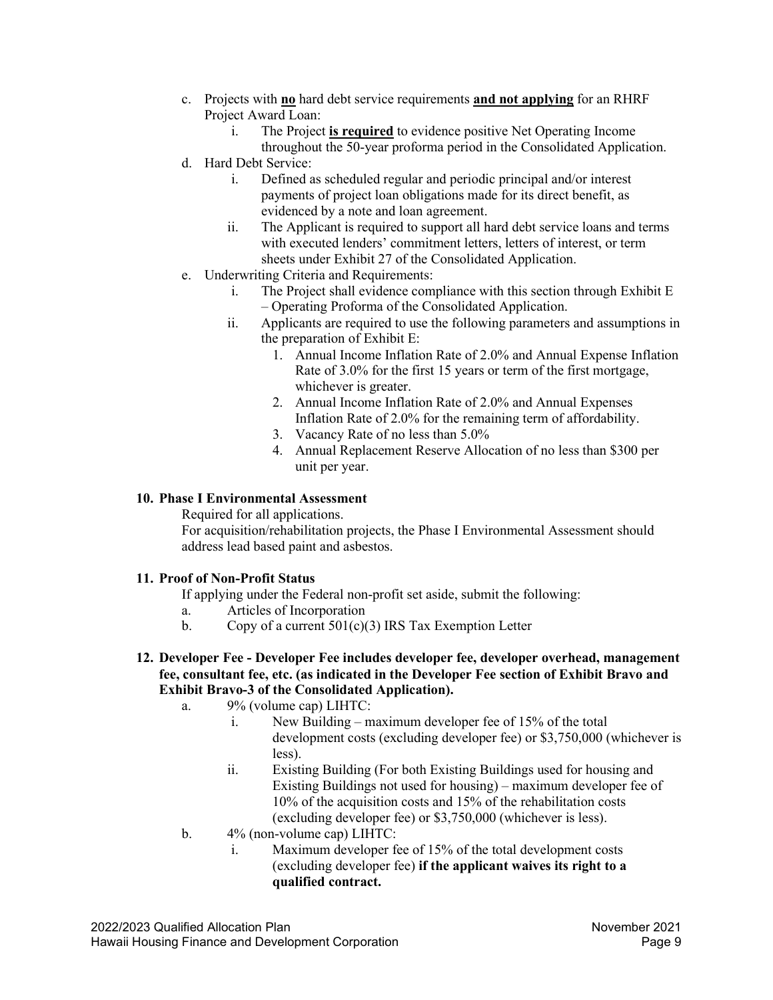- c. Projects with **no** hard debt service requirements **and not applying** for an RHRF Project Award Loan:
	- i. The Project **is required** to evidence positive Net Operating Income throughout the 50-year proforma period in the Consolidated Application.
- d. Hard Debt Service:
	- i. Defined as scheduled regular and periodic principal and/or interest payments of project loan obligations made for its direct benefit, as evidenced by a note and loan agreement.
	- ii. The Applicant is required to support all hard debt service loans and terms with executed lenders' commitment letters, letters of interest, or term sheets under Exhibit 27 of the Consolidated Application.
- e. Underwriting Criteria and Requirements:
	- i. The Project shall evidence compliance with this section through Exhibit E – Operating Proforma of the Consolidated Application.
	- ii. Applicants are required to use the following parameters and assumptions in the preparation of Exhibit E:
		- 1. Annual Income Inflation Rate of 2.0% and Annual Expense Inflation Rate of 3.0% for the first 15 years or term of the first mortgage, whichever is greater.
		- 2. Annual Income Inflation Rate of 2.0% and Annual Expenses Inflation Rate of 2.0% for the remaining term of affordability.
		- 3. Vacancy Rate of no less than 5.0%
		- 4. Annual Replacement Reserve Allocation of no less than \$300 per unit per year.

## **10. Phase I Environmental Assessment**

Required for all applications.

For acquisition/rehabilitation projects, the Phase I Environmental Assessment should address lead based paint and asbestos.

#### **11. Proof of Non-Profit Status**

If applying under the Federal non-profit set aside, submit the following:

- a. Articles of Incorporation
- b. Copy of a current  $501(c)(3)$  IRS Tax Exemption Letter
- **12. Developer Fee - Developer Fee includes developer fee, developer overhead, management fee, consultant fee, etc. (as indicated in the Developer Fee section of Exhibit Bravo and Exhibit Bravo-3 of the Consolidated Application).**
	- a. 9% (volume cap) LIHTC:
		- i. New Building maximum developer fee of 15% of the total development costs (excluding developer fee) or \$3,750,000 (whichever is less).
		- ii. Existing Building (For both Existing Buildings used for housing and Existing Buildings not used for housing) – maximum developer fee of 10% of the acquisition costs and 15% of the rehabilitation costs (excluding developer fee) or \$3,750,000 (whichever is less).
	- b. 4% (non-volume cap) LIHTC:
		- i. Maximum developer fee of 15% of the total development costs (excluding developer fee) **if the applicant waives its right to a qualified contract.**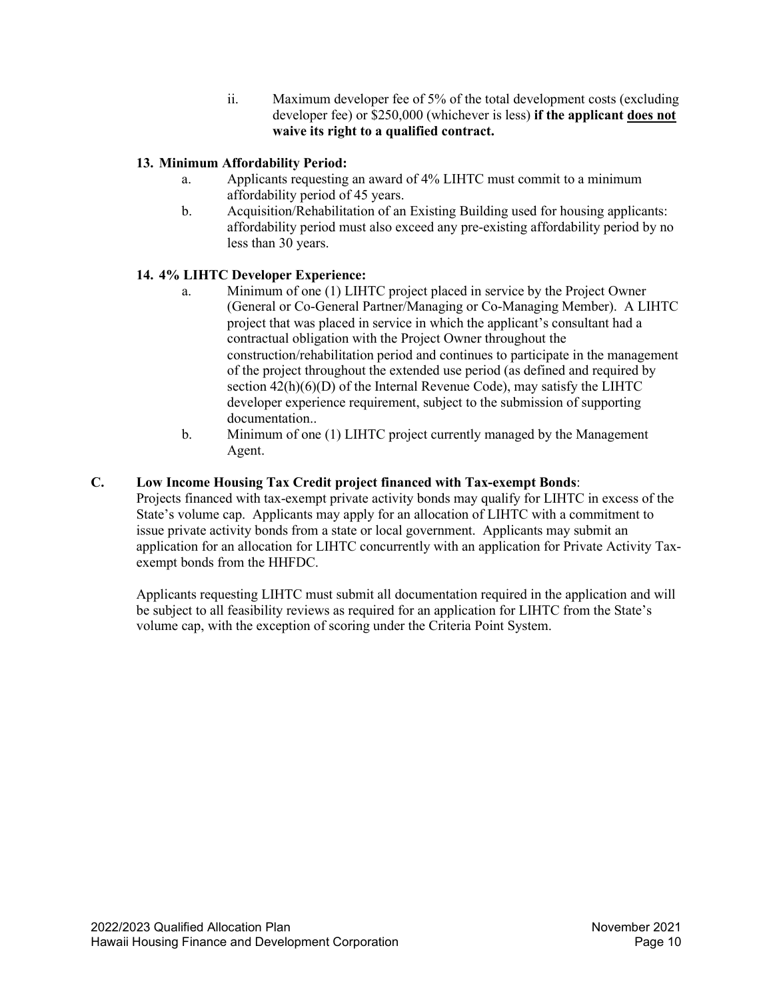ii. Maximum developer fee of 5% of the total development costs (excluding developer fee) or \$250,000 (whichever is less) **if the applicant does not waive its right to a qualified contract.**

# **13. Minimum Affordability Period:**

- a. Applicants requesting an award of 4% LIHTC must commit to a minimum affordability period of 45 years.
- b. Acquisition/Rehabilitation of an Existing Building used for housing applicants: affordability period must also exceed any pre-existing affordability period by no less than 30 years.

# **14. 4% LIHTC Developer Experience:**

- a. Minimum of one (1) LIHTC project placed in service by the Project Owner (General or Co-General Partner/Managing or Co-Managing Member). A LIHTC project that was placed in service in which the applicant's consultant had a contractual obligation with the Project Owner throughout the construction/rehabilitation period and continues to participate in the management of the project throughout the extended use period (as defined and required by section  $42(h)(6)(D)$  of the Internal Revenue Code), may satisfy the LIHTC developer experience requirement, subject to the submission of supporting documentation..
- b. Minimum of one (1) LIHTC project currently managed by the Management Agent.

# <span id="page-9-0"></span>**C. Low Income Housing Tax Credit project financed with Tax-exempt Bonds**:

Projects financed with tax-exempt private activity bonds may qualify for LIHTC in excess of the State's volume cap. Applicants may apply for an allocation of LIHTC with a commitment to issue private activity bonds from a state or local government. Applicants may submit an application for an allocation for LIHTC concurrently with an application for Private Activity Taxexempt bonds from the HHFDC.

Applicants requesting LIHTC must submit all documentation required in the application and will be subject to all feasibility reviews as required for an application for LIHTC from the State's volume cap, with the exception of scoring under the Criteria Point System.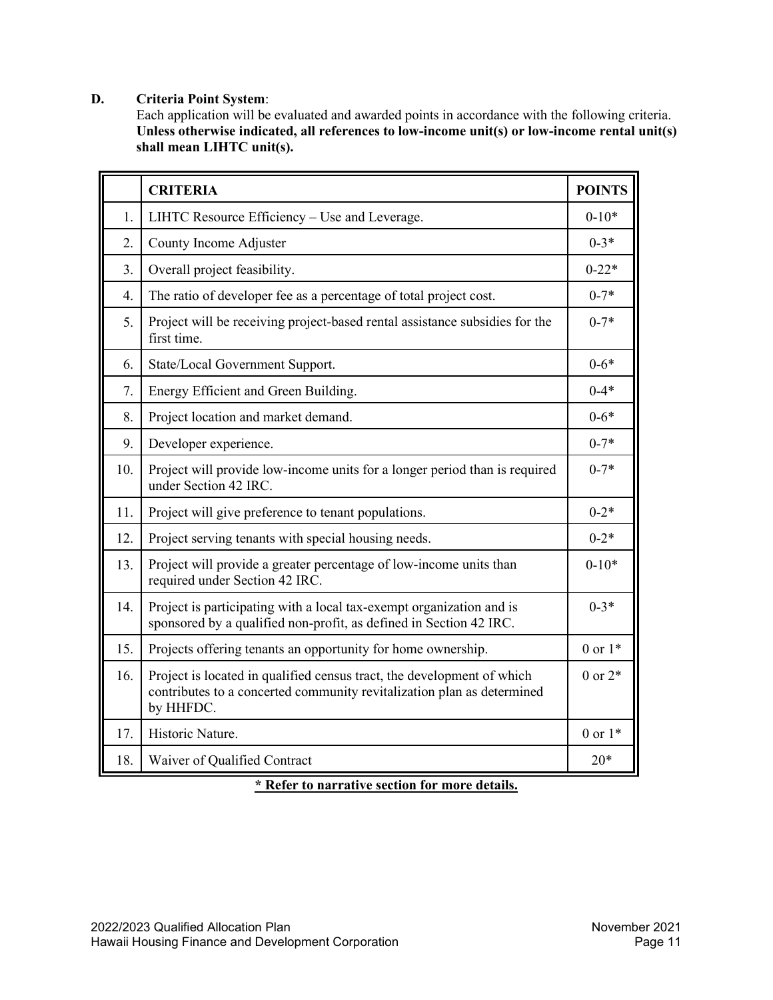# <span id="page-10-0"></span>**D. Criteria Point System**:

Each application will be evaluated and awarded points in accordance with the following criteria. **Unless otherwise indicated, all references to low-income unit(s) or low-income rental unit(s) shall mean LIHTC unit(s).**

|     | <b>CRITERIA</b>                                                                                                                                               | <b>POINTS</b> |
|-----|---------------------------------------------------------------------------------------------------------------------------------------------------------------|---------------|
| 1.  | LIHTC Resource Efficiency - Use and Leverage.                                                                                                                 | $0 - 10*$     |
| 2.  | County Income Adjuster                                                                                                                                        | $0 - 3*$      |
| 3.  | Overall project feasibility.                                                                                                                                  | $0 - 22*$     |
| 4.  | The ratio of developer fee as a percentage of total project cost.                                                                                             | $0 - 7*$      |
| 5.  | Project will be receiving project-based rental assistance subsidies for the<br>first time.                                                                    | $0 - 7*$      |
| 6.  | State/Local Government Support.                                                                                                                               | $0 - 6*$      |
| 7.  | Energy Efficient and Green Building.                                                                                                                          | $0 - 4*$      |
| 8.  | Project location and market demand.                                                                                                                           | $0 - 6*$      |
| 9.  | Developer experience.                                                                                                                                         | $0 - 7*$      |
| 10. | Project will provide low-income units for a longer period than is required<br>under Section 42 IRC.                                                           | $0 - 7*$      |
| 11. | Project will give preference to tenant populations.                                                                                                           | $0 - 2*$      |
| 12. | Project serving tenants with special housing needs.                                                                                                           | $0 - 2*$      |
| 13. | Project will provide a greater percentage of low-income units than<br>required under Section 42 IRC.                                                          | $0-10*$       |
| 14. | Project is participating with a local tax-exempt organization and is<br>sponsored by a qualified non-profit, as defined in Section 42 IRC.                    | $0 - 3*$      |
| 15. | Projects offering tenants an opportunity for home ownership.                                                                                                  | 0 or $1*$     |
| 16. | Project is located in qualified census tract, the development of which<br>contributes to a concerted community revitalization plan as determined<br>by HHFDC. | $0$ or $2*$   |
| 17. | Historic Nature.                                                                                                                                              | $0$ or $1*$   |
| 18. | Waiver of Qualified Contract                                                                                                                                  | $20*$         |

**\* Refer to narrative section for more details.**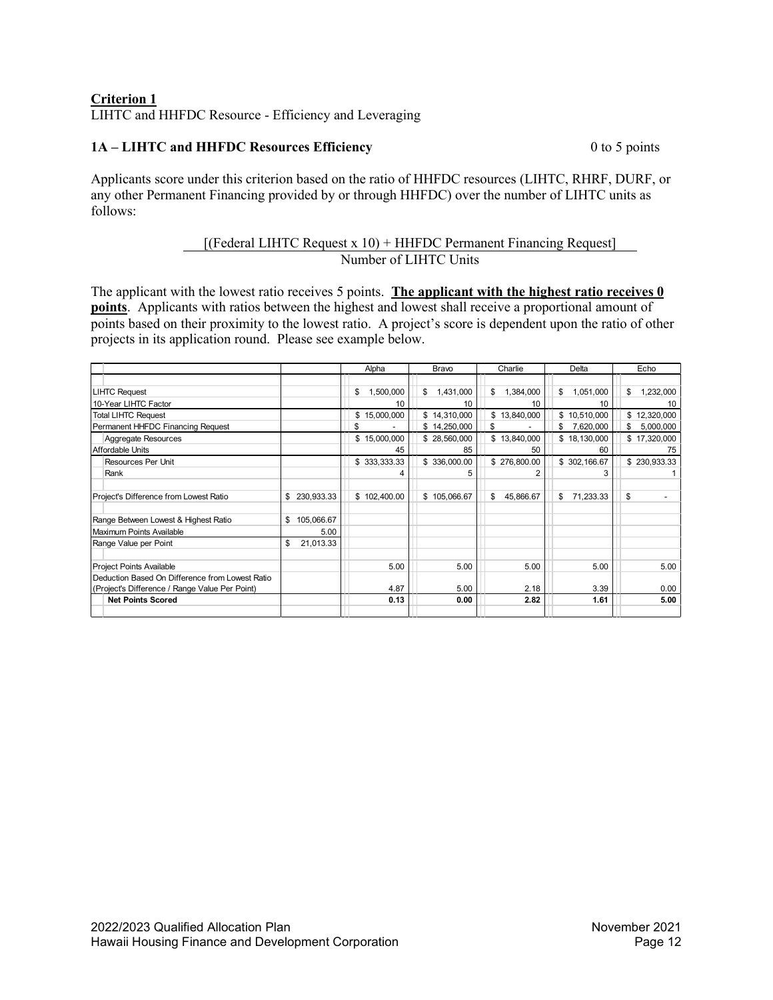# **Criterion 1** LIHTC and HHFDC Resource - Efficiency and Leveraging

# **1A – LIHTC and HHFDC Resources Efficiency** 0 to 5 points

Applicants score under this criterion based on the ratio of HHFDC resources (LIHTC, RHRF, DURF, or any other Permanent Financing provided by or through HHFDC) over the number of LIHTC units as follows:

# [(Federal LIHTC Request x 10) + HHFDC Permanent Financing Request] Number of LIHTC Units

The applicant with the lowest ratio receives 5 points. **The applicant with the highest ratio receives 0 points**. Applicants with ratios between the highest and lowest shall receive a proportional amount of points based on their proximity to the lowest ratio. A project's score is dependent upon the ratio of other projects in its application round. Please see example below.

|                                                 |                  | Alpha           | Bravo           | Charlie         | Delta           | Echo            |
|-------------------------------------------------|------------------|-----------------|-----------------|-----------------|-----------------|-----------------|
|                                                 |                  |                 |                 |                 |                 |                 |
| <b>LIHTC Request</b>                            |                  | 1,500,000<br>\$ | \$<br>1,431,000 | 1,384,000<br>\$ | \$<br>1,051,000 | 1,232,000<br>\$ |
| 10-Year LIHTC Factor                            |                  | 10              | 10              | 10              | 10              | 10              |
| <b>Total LIHTC Request</b>                      |                  | \$15,000,000    | \$14,310,000    | \$13,840,000    | \$10,510,000    | \$12,320,000    |
| Permanent HHFDC Financing Request               |                  |                 | \$14,250,000    | \$              | \$<br>7,620,000 | 5,000,000<br>\$ |
| Aggregate Resources                             |                  | \$15,000,000    | \$28,560,000    | \$13,840,000    | \$18,130,000    | \$17,320,000    |
| Affordable Units                                |                  | 45              | 85              | 50              | 60              | 75              |
| <b>Resources Per Unit</b>                       |                  | \$333,333.33    | \$336,000.00    | \$276,800.00    | \$302,166.67    | \$230,933.33    |
| Rank                                            |                  |                 | 'n.             |                 |                 |                 |
|                                                 |                  |                 |                 |                 |                 |                 |
| Project's Difference from Lowest Ratio          | \$230,933.33     | \$102,400.00    | \$105,066.67    | 45,866.67<br>\$ | \$<br>71,233.33 | \$              |
| Range Between Lowest & Highest Ratio            | \$<br>105,066.67 |                 |                 |                 |                 |                 |
| Maximum Points Available                        | 5.00             |                 |                 |                 |                 |                 |
| Range Value per Point                           | 21,013.33<br>\$  |                 |                 |                 |                 |                 |
| <b>Project Points Available</b>                 |                  | 5.00            | 5.00            | 5.00            | 5.00            | 5.00            |
| Deduction Based On Difference from Lowest Ratio |                  |                 |                 |                 |                 |                 |
| (Project's Difference / Range Value Per Point)  |                  | 4.87            | 5.00            | 2.18            | 3.39            | 0.00            |
| <b>Net Points Scored</b>                        |                  | 0.13            | 0.00            | 2.82            | 1.61            | 5.00            |
|                                                 |                  |                 |                 |                 |                 |                 |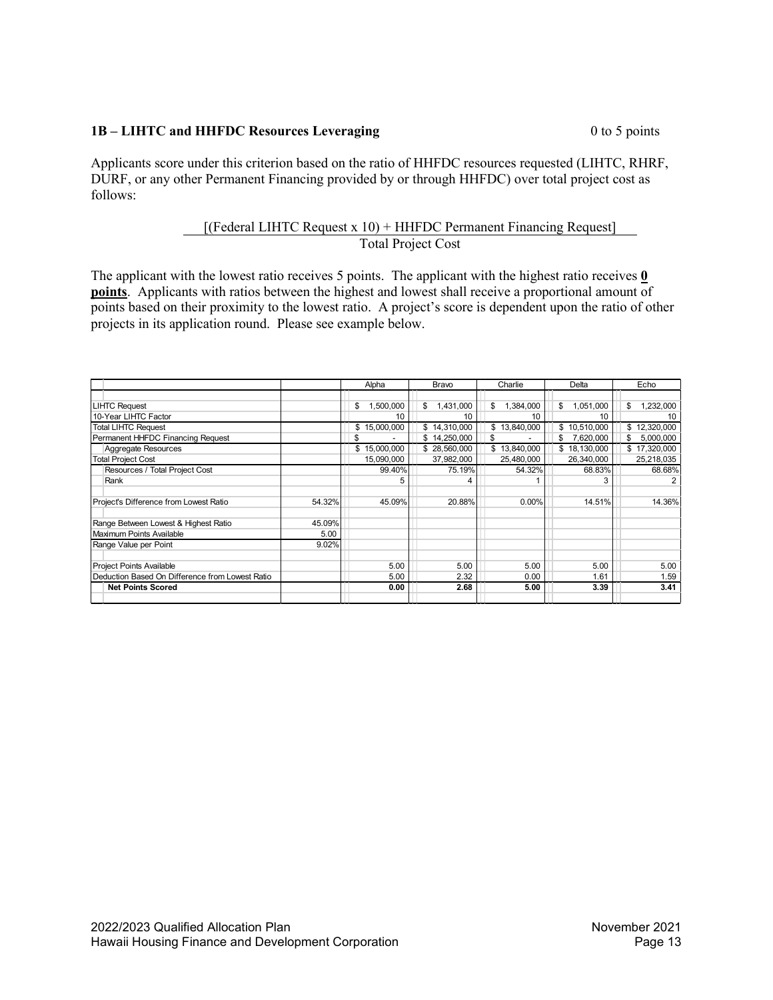## **1B – LIHTC and HHFDC Resources Leveraging** 0 to 5 points

Applicants score under this criterion based on the ratio of HHFDC resources requested (LIHTC, RHRF, DURF, or any other Permanent Financing provided by or through HHFDC) over total project cost as follows:

## [(Federal LIHTC Request x 10) + HHFDC Permanent Financing Request] Total Project Cost

The applicant with the lowest ratio receives 5 points. The applicant with the highest ratio receives **0 points**. Applicants with ratios between the highest and lowest shall receive a proportional amount of points based on their proximity to the lowest ratio. A project's score is dependent upon the ratio of other projects in its application round. Please see example below.

|                                                 |        | Alpha           | Bravo           | Charlie         | Delta           | Echo            |
|-------------------------------------------------|--------|-----------------|-----------------|-----------------|-----------------|-----------------|
|                                                 |        |                 |                 |                 |                 |                 |
| <b>LIHTC Request</b>                            |        | 1,500,000<br>\$ | \$<br>1,431,000 | 1,384,000<br>\$ | \$<br>1,051,000 | 1,232,000<br>\$ |
| 10-Year LIHTC Factor                            |        | 10              | 10              | 10              |                 |                 |
| <b>Total LIHTC Request</b>                      |        | \$15,000,000    | \$14,310,000    | \$13,840,000    | \$10,510,000    | \$12,320,000    |
| Permanent HHFDC Financing Request               |        |                 | \$14,250,000    |                 | 7,620,000<br>\$ | 5,000,000<br>\$ |
| Aggregate Resources                             |        | \$15,000,000    | \$28,560,000    | \$13,840,000    | \$18,130,000    | \$17,320,000    |
| <b>Total Project Cost</b>                       |        | 15,090,000      | 37,982,000      | 25,480,000      | 26,340,000      | 25,218,035      |
| Resources / Total Project Cost                  |        | 99.40%          | 75.19%          | 54.32%          | 68.83%          | 68.68%          |
| Rank                                            |        | :5              |                 |                 |                 |                 |
|                                                 |        |                 |                 |                 |                 |                 |
| Project's Difference from Lowest Ratio          | 54.32% | 45.09%          | 20.88%          | 0.00%           | 14.51%          | 14.36%          |
|                                                 |        |                 |                 |                 |                 |                 |
| Range Between Lowest & Highest Ratio            | 45.09% |                 |                 |                 |                 |                 |
| Maximum Points Available                        | 5.00   |                 |                 |                 |                 |                 |
| Range Value per Point                           | 9.02%  |                 |                 |                 |                 |                 |
|                                                 |        |                 |                 |                 |                 |                 |
| Project Points Available                        |        | 5.00            | 5.00            | 5.00            | 5.00            | 5.00            |
| Deduction Based On Difference from Lowest Ratio |        | 5.00            | 2.32            | 0.00            | 1.61            | 1.59            |
| <b>Net Points Scored</b>                        |        | 0.00            | 2.68            | 5.00            | 3.39            | 3.41            |
|                                                 |        |                 |                 |                 |                 |                 |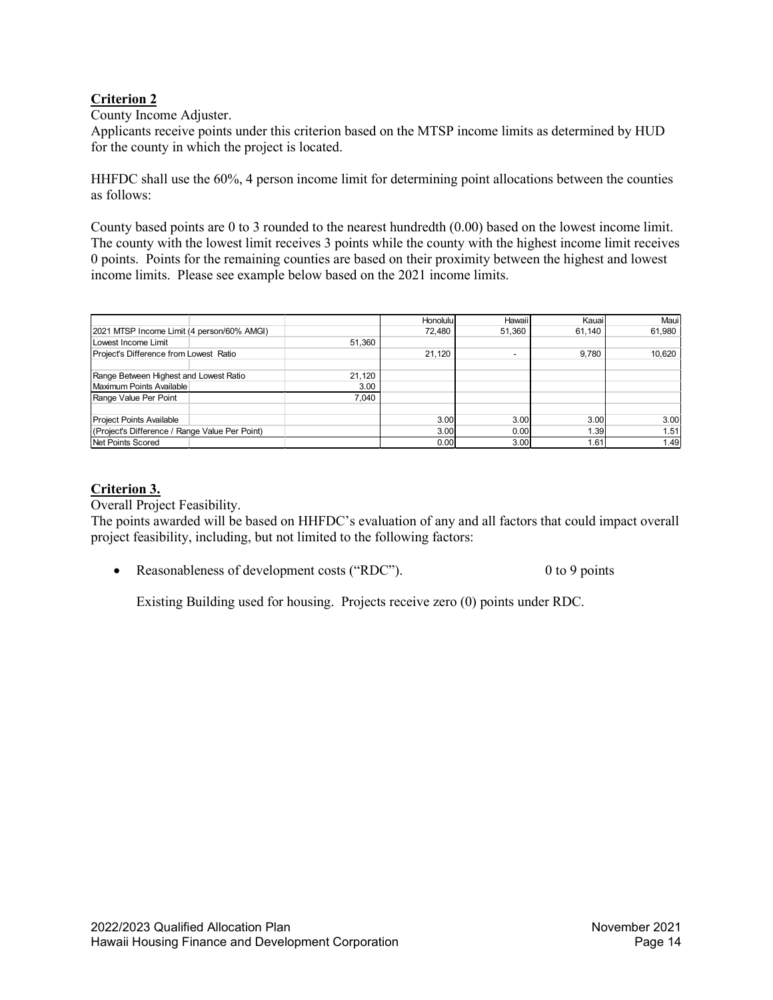# **Criterion 2**

County Income Adjuster.

Applicants receive points under this criterion based on the MTSP income limits as determined by HUD for the county in which the project is located.

HHFDC shall use the 60%, 4 person income limit for determining point allocations between the counties as follows:

County based points are 0 to 3 rounded to the nearest hundredth (0.00) based on the lowest income limit. The county with the lowest limit receives 3 points while the county with the highest income limit receives 0 points. Points for the remaining counties are based on their proximity between the highest and lowest income limits. Please see example below based on the 2021 income limits.

|                                                |        | Honolulu | Hawaii                   | Kauail | Maui   |
|------------------------------------------------|--------|----------|--------------------------|--------|--------|
| 2021 MTSP Income Limit (4 person/60% AMGI)     |        | 72,480   | 51,360                   | 61,140 | 61,980 |
| Lowest Income Limit                            | 51,360 |          |                          |        |        |
| Project's Difference from Lowest Ratio         |        | 21,120   | $\overline{\phantom{a}}$ | 9.780  | 10,620 |
|                                                |        |          |                          |        |        |
| Range Between Highest and Lowest Ratio         | 21.120 |          |                          |        |        |
| Maximum Points Available                       | 3.00   |          |                          |        |        |
| Range Value Per Point                          | 7.040  |          |                          |        |        |
|                                                |        |          |                          |        |        |
| Project Points Available                       |        | 3.00     | 3.00                     | 3.00   | 3.00   |
| (Project's Difference / Range Value Per Point) |        | 3.00     | 0.00                     | 1.39   | 1.51   |
| Net Points Scored                              |        | 0.00     | 3.00                     | 1.61   | 1.49   |

# **Criterion 3.**

Overall Project Feasibility.

The points awarded will be based on HHFDC's evaluation of any and all factors that could impact overall project feasibility, including, but not limited to the following factors:

• Reasonableness of development costs ("RDC"). 0 to 9 points

Existing Building used for housing. Projects receive zero (0) points under RDC.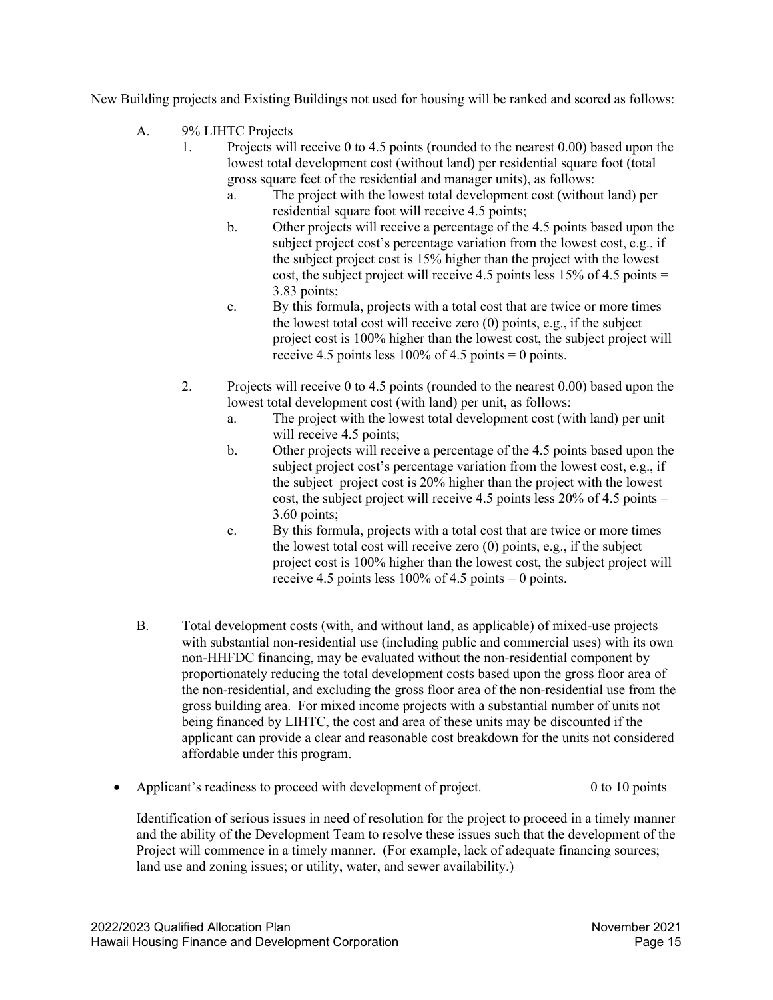New Building projects and Existing Buildings not used for housing will be ranked and scored as follows:

- A. 9% LIHTC Projects
	- 1. Projects will receive 0 to 4.5 points (rounded to the nearest 0.00) based upon the lowest total development cost (without land) per residential square foot (total gross square feet of the residential and manager units), as follows:
		- a. The project with the lowest total development cost (without land) per residential square foot will receive 4.5 points;
		- b. Other projects will receive a percentage of the 4.5 points based upon the subject project cost's percentage variation from the lowest cost, e.g., if the subject project cost is 15% higher than the project with the lowest cost, the subject project will receive 4.5 points less  $15\%$  of 4.5 points = 3.83 points;
		- c. By this formula, projects with a total cost that are twice or more times the lowest total cost will receive zero (0) points, e.g., if the subject project cost is 100% higher than the lowest cost, the subject project will receive 4.5 points less  $100\%$  of 4.5 points = 0 points.
	- 2. Projects will receive 0 to 4.5 points (rounded to the nearest 0.00) based upon the lowest total development cost (with land) per unit, as follows:
		- a. The project with the lowest total development cost (with land) per unit will receive 4.5 points:
		- b. Other projects will receive a percentage of the 4.5 points based upon the subject project cost's percentage variation from the lowest cost, e.g., if the subject project cost is 20% higher than the project with the lowest cost, the subject project will receive 4.5 points less  $20\%$  of 4.5 points = 3.60 points;
		- c. By this formula, projects with a total cost that are twice or more times the lowest total cost will receive zero (0) points, e.g., if the subject project cost is 100% higher than the lowest cost, the subject project will receive 4.5 points less  $100\%$  of 4.5 points = 0 points.
- B. Total development costs (with, and without land, as applicable) of mixed-use projects with substantial non-residential use (including public and commercial uses) with its own non-HHFDC financing, may be evaluated without the non-residential component by proportionately reducing the total development costs based upon the gross floor area of the non-residential, and excluding the gross floor area of the non-residential use from the gross building area. For mixed income projects with a substantial number of units not being financed by LIHTC, the cost and area of these units may be discounted if the applicant can provide a clear and reasonable cost breakdown for the units not considered affordable under this program.
- Applicant's readiness to proceed with development of project. 0 to 10 points

Identification of serious issues in need of resolution for the project to proceed in a timely manner and the ability of the Development Team to resolve these issues such that the development of the Project will commence in a timely manner. (For example, lack of adequate financing sources; land use and zoning issues; or utility, water, and sewer availability.)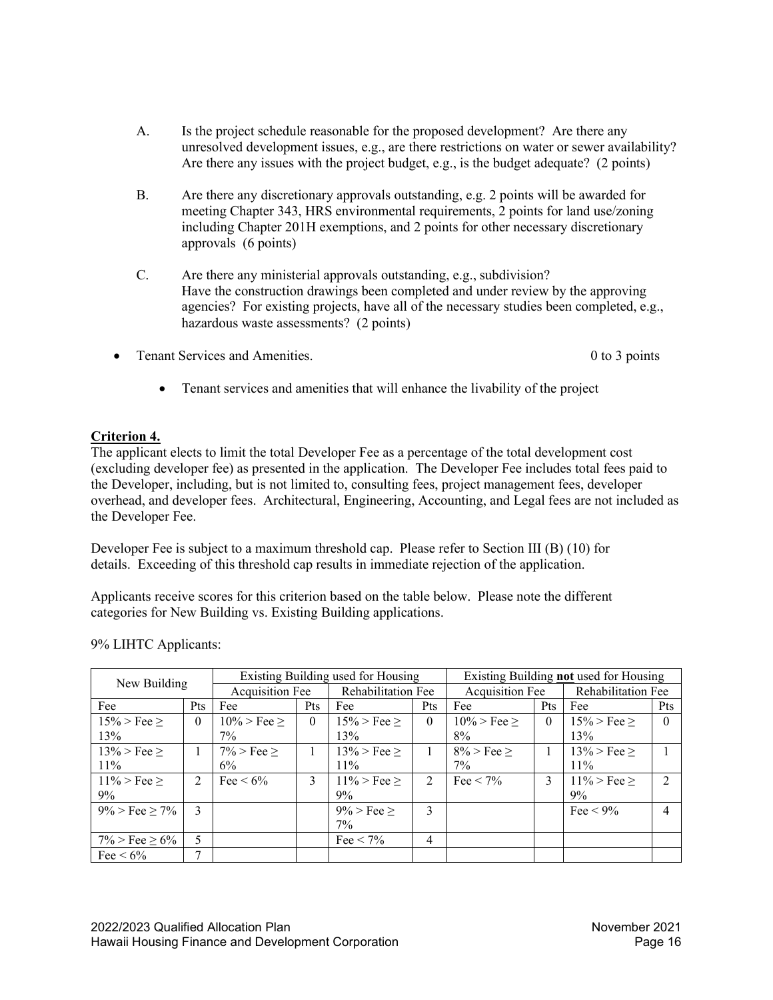- A. Is the project schedule reasonable for the proposed development? Are there any unresolved development issues, e.g., are there restrictions on water or sewer availability? Are there any issues with the project budget, e.g., is the budget adequate? (2 points)
- B. Are there any discretionary approvals outstanding, e.g. 2 points will be awarded for meeting Chapter 343, HRS environmental requirements, 2 points for land use/zoning including Chapter 201H exemptions, and 2 points for other necessary discretionary approvals (6 points)
- C. Are there any ministerial approvals outstanding, e.g., subdivision? Have the construction drawings been completed and under review by the approving agencies? For existing projects, have all of the necessary studies been completed, e.g., hazardous waste assessments? (2 points)
- From Services and Amenities. 0 to 3 points of 3 points

• Tenant services and amenities that will enhance the livability of the project

# **Criterion 4.**

The applicant elects to limit the total Developer Fee as a percentage of the total development cost (excluding developer fee) as presented in the application. The Developer Fee includes total fees paid to the Developer, including, but is not limited to, consulting fees, project management fees, developer overhead, and developer fees. Architectural, Engineering, Accounting, and Legal fees are not included as the Developer Fee.

Developer Fee is subject to a maximum threshold cap. Please refer to Section III (B) (10) for details. Exceeding of this threshold cap results in immediate rejection of the application.

Applicants receive scores for this criterion based on the table below. Please note the different categories for New Building vs. Existing Building applications.

|                        |               | Existing Building used for Housing |            |                         |                | Existing Building not used for Housing |          |                       |                             |
|------------------------|---------------|------------------------------------|------------|-------------------------|----------------|----------------------------------------|----------|-----------------------|-----------------------------|
| New Building           |               | <b>Acquisition Fee</b>             |            | Rehabilitation Fee      |                | <b>Acquisition Fee</b>                 |          | Rehabilitation Fee    |                             |
| Fee                    | <b>Pts</b>    | Fee                                | <b>Pts</b> | Fee                     | Pts            | Fee                                    | Pts      | Fee                   | Pts                         |
| $15\% > \text{Fee} >$  | $\theta$      | $10\%$ > Fee >                     | $\theta$   | $15\%$ > Fee >          | $\theta$       | $10\%$ > Fee >                         | $\theta$ | $15\%$ > Fee >        | $\theta$                    |
| 13%                    |               | $7\%$                              |            | 13%                     |                | 8%                                     |          | 13%                   |                             |
| $13\% > \text{Fee} >$  |               | $7\% >$ Fee $>$                    |            | $13\%$ > Fee >          |                | $8\% >$ Fee $>$                        |          | $13\%$ > Fee >        |                             |
| $11\%$                 |               | $6\%$                              |            | $11\%$                  |                | $7\%$                                  |          | $11\%$                |                             |
| $11\% > \text{Fee} >$  | $2^{\circ}$   | Fee $\leq 6\%$                     | 3          | $11\% > \text{Fee} \ge$ | $\mathfrak{D}$ | Fee $< 7\%$                            | 3        | $11\% > \text{Fee} >$ | $\mathcal{D}_{\mathcal{L}}$ |
| $9\%$                  |               |                                    |            | 9%                      |                |                                        |          | 9%                    |                             |
| $9\% >$ Fee $> 7\%$    | $\mathcal{F}$ |                                    |            | $9\% > Fee >$           | 3              |                                        |          | Fee $\leq 9\%$        | 4                           |
|                        |               |                                    |            | $7\%$                   |                |                                        |          |                       |                             |
| $7\%$ > Fee $\geq 6\%$ | 5.            |                                    |            | Fee $\leq 7\%$          | 4              |                                        |          |                       |                             |
| Fee $\leq 6\%$         | 7             |                                    |            |                         |                |                                        |          |                       |                             |

9% LIHTC Applicants: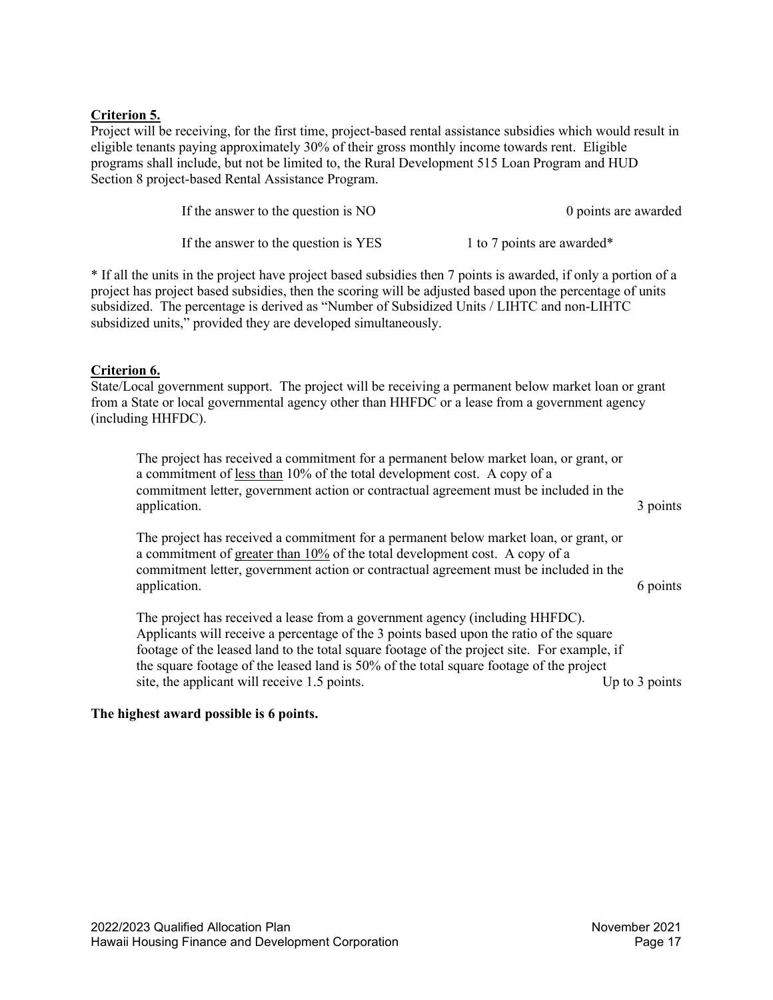# **Criterion 5.**

Project will be receiving, for the first time, project-based rental assistance subsidies which would result in eligible tenants paying approximately 30% of their gross monthly income towards rent. Eligible programs shall include, but not be limited to, the Rural Development 515 Loan Program and HUD Section 8 project-based Rental Assistance Program.

| If the answer to the question is NO  | 0 points are awarded       |
|--------------------------------------|----------------------------|
| If the answer to the question is YES | 1 to 7 points are awarded* |

\* If all the units in the project have project based subsidies then 7 points is awarded, if only a portion of a project has project based subsidies, then the scoring will be adjusted based upon the percentage of units subsidized. The percentage is derived as "Number of Subsidized Units / LIHTC and non-LIHTC subsidized units," provided they are developed simultaneously.

# **Criterion 6.**

State/Local government support. The project will be receiving a permanent below market loan or grant from a State or local governmental agency other than HHFDC or a lease from a government agency (including HHFDC).

The project has received a commitment for a permanent below market loan, or grant, or a commitment of less than 10% of the total development cost. A copy of a commitment letter, government action or contractual agreement must be included in the application. 3 points 3 points

The project has received a commitment for a permanent below market loan, or grant, or a commitment of greater than  $10\%$  of the total development cost. A copy of a commitment letter, government action or contractual agreement must be included in the application. 6 points of the contract of the contract of the contract of the contract of the contract of the contract of the contract of the contract of the contract of the contract of the contract of the contract of the c

The project has received a lease from a government agency (including HHFDC). Applicants will receive a percentage of the 3 points based upon the ratio of the square footage of the leased land to the total square footage of the project site. For example, if the square footage of the leased land is 50% of the total square footage of the project site, the applicant will receive 1.5 points. Up to 3 points Up to 3 points

#### **The highest award possible is 6 points.**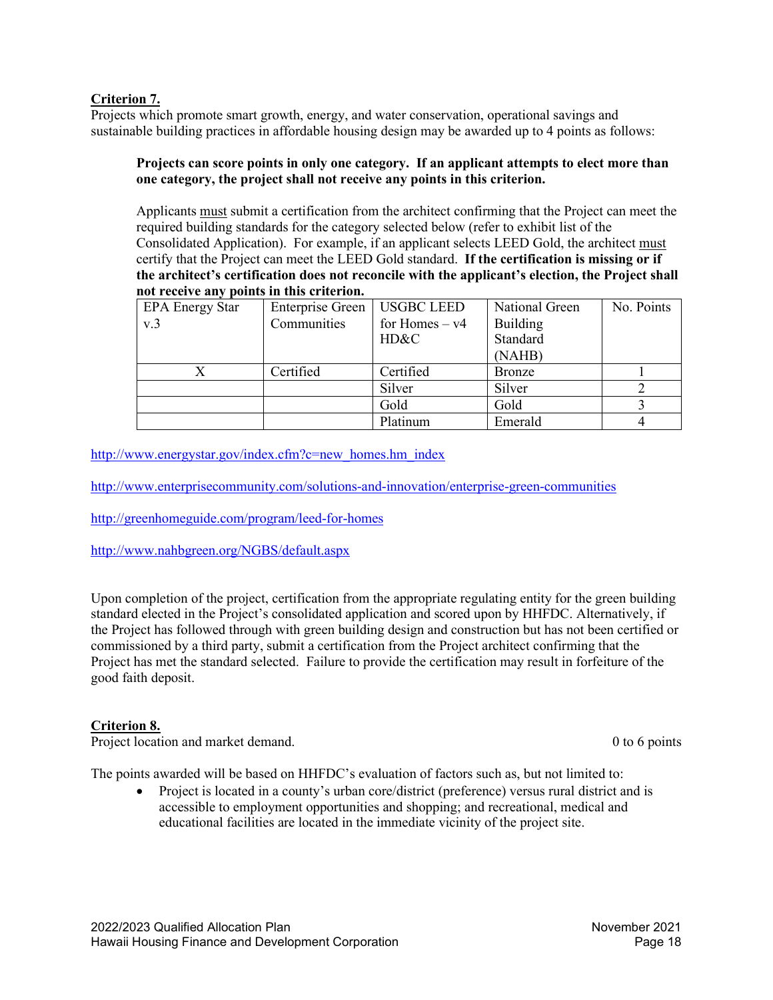# **Criterion 7.**

Projects which promote smart growth, energy, and water conservation, operational savings and sustainable building practices in affordable housing design may be awarded up to 4 points as follows:

#### **Projects can score points in only one category. If an applicant attempts to elect more than one category, the project shall not receive any points in this criterion.**

Applicants must submit a certification from the architect confirming that the Project can meet the required building standards for the category selected below (refer to exhibit list of the Consolidated Application). For example, if an applicant selects LEED Gold, the architect must certify that the Project can meet the LEED Gold standard. **If the certification is missing or if the architect's certification does not reconcile with the applicant's election, the Project shall not receive any points in this criterion.**

| <b>EPA Energy Star</b> | Enterprise Green   USGBC LEED |                  | National Green  | No. Points |
|------------------------|-------------------------------|------------------|-----------------|------------|
| v <sub>0</sub>         | Communities                   | for Homes $- v4$ | <b>Building</b> |            |
|                        |                               | HD&C             | Standard        |            |
|                        |                               |                  | (NAHB)          |            |
|                        | Certified                     | Certified        | <b>Bronze</b>   |            |
|                        |                               | Silver           | Silver          |            |
|                        |                               | Gold             | Gold            |            |
|                        |                               | Platinum         | Emerald         |            |

[http://www.energystar.gov/index.cfm?c=new\\_homes.hm\\_index](http://www.energystar.gov/index.cfm?c=new_homes.hm_index)

<http://www.enterprisecommunity.com/solutions-and-innovation/enterprise-green-communities>

<http://greenhomeguide.com/program/leed-for-homes>

<http://www.nahbgreen.org/NGBS/default.aspx>

Upon completion of the project, certification from the appropriate regulating entity for the green building standard elected in the Project's consolidated application and scored upon by HHFDC. Alternatively, if the Project has followed through with green building design and construction but has not been certified or commissioned by a third party, submit a certification from the Project architect confirming that the Project has met the standard selected. Failure to provide the certification may result in forfeiture of the good faith deposit.

# **Criterion 8.**

Project location and market demand. 0 to 6 points of the matrix of the matrix of the matrix of the matrix of the matrix of the matrix of the matrix of the matrix of the matrix of the matrix of the matrix of the matrix of t

The points awarded will be based on HHFDC's evaluation of factors such as, but not limited to:

• Project is located in a county's urban core/district (preference) versus rural district and is accessible to employment opportunities and shopping; and recreational, medical and educational facilities are located in the immediate vicinity of the project site.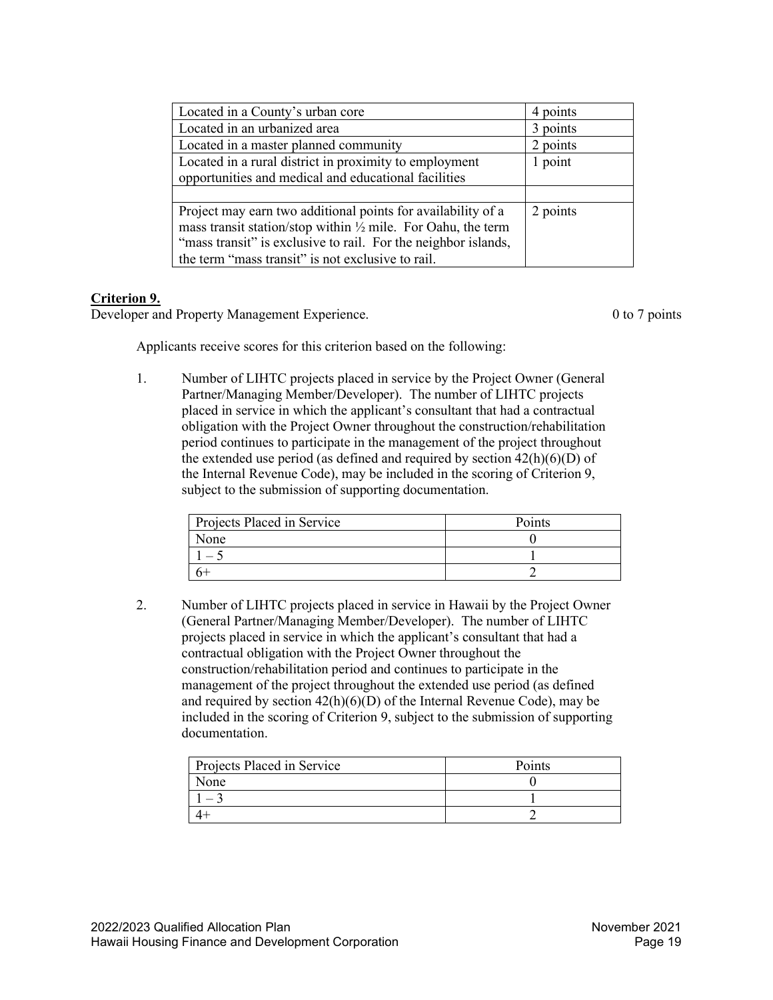| Located in a County's urban core                                        | 4 points |
|-------------------------------------------------------------------------|----------|
| Located in an urbanized area                                            | 3 points |
| Located in a master planned community                                   | 2 points |
| Located in a rural district in proximity to employment                  | 1 point  |
| opportunities and medical and educational facilities                    |          |
|                                                                         |          |
| Project may earn two additional points for availability of a            | 2 points |
| mass transit station/stop within $\frac{1}{2}$ mile. For Oahu, the term |          |
| "mass transit" is exclusive to rail. For the neighbor islands,          |          |
| the term "mass transit" is not exclusive to rail.                       |          |

# **Criterion 9.**

Developer and Property Management Experience. 0 to 7 points

Applicants receive scores for this criterion based on the following:

1. Number of LIHTC projects placed in service by the Project Owner (General Partner/Managing Member/Developer). The number of LIHTC projects placed in service in which the applicant's consultant that had a contractual obligation with the Project Owner throughout the construction/rehabilitation period continues to participate in the management of the project throughout the extended use period (as defined and required by section  $42(h)(6)(D)$  of the Internal Revenue Code), may be included in the scoring of Criterion 9, subject to the submission of supporting documentation.

| Projects Placed in Service | Points |
|----------------------------|--------|
| None                       |        |
|                            |        |
|                            |        |

2. Number of LIHTC projects placed in service in Hawaii by the Project Owner (General Partner/Managing Member/Developer). The number of LIHTC projects placed in service in which the applicant's consultant that had a contractual obligation with the Project Owner throughout the construction/rehabilitation period and continues to participate in the management of the project throughout the extended use period (as defined and required by section  $42(h)(6)(D)$  of the Internal Revenue Code), may be included in the scoring of Criterion 9, subject to the submission of supporting documentation.

| Projects Placed in Service | Points |
|----------------------------|--------|
| None                       |        |
|                            |        |
|                            |        |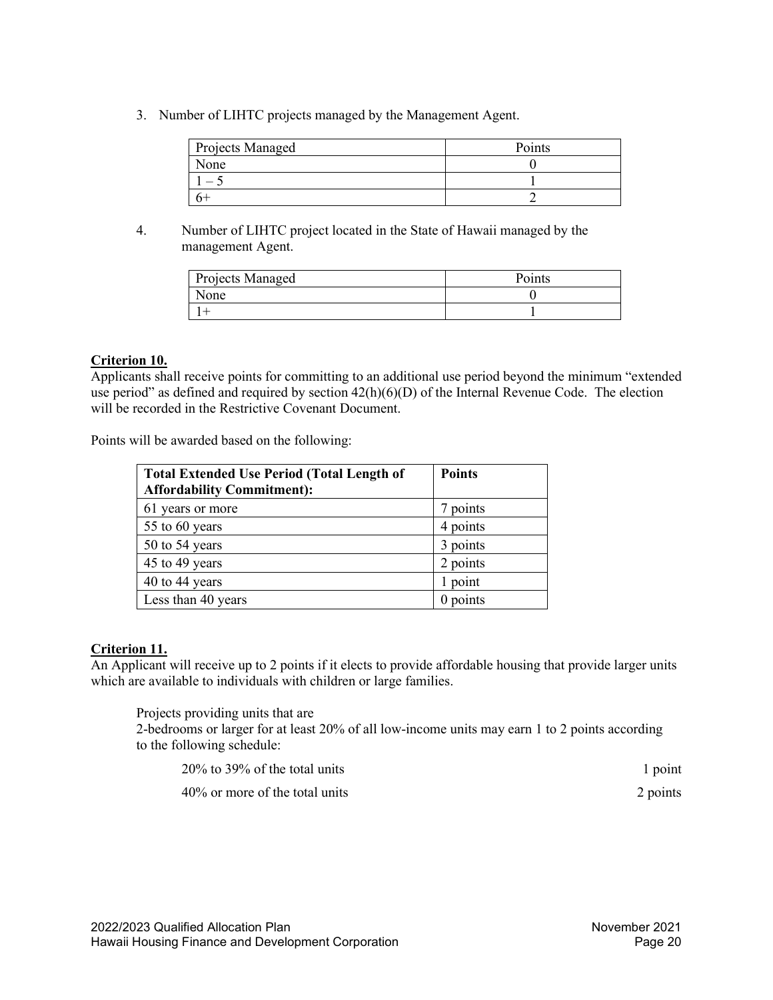3. Number of LIHTC projects managed by the Management Agent.

| Projects Managed | Points |
|------------------|--------|
| None             |        |
|                  |        |
|                  |        |

4. Number of LIHTC project located in the State of Hawaii managed by the management Agent.

| Projects Managed | <b>Points</b> |
|------------------|---------------|
| None             |               |
|                  |               |

# **Criterion 10.**

Applicants shall receive points for committing to an additional use period beyond the minimum "extended use period" as defined and required by section  $42(h)(6)(D)$  of the Internal Revenue Code. The election will be recorded in the Restrictive Covenant Document.

Points will be awarded based on the following:

| <b>Total Extended Use Period (Total Length of</b><br><b>Affordability Commitment):</b> | <b>Points</b> |
|----------------------------------------------------------------------------------------|---------------|
| 61 years or more                                                                       | 7 points      |
| 55 to 60 years                                                                         | 4 points      |
| 50 to 54 years                                                                         | 3 points      |
| 45 to 49 years                                                                         | 2 points      |
| 40 to 44 years                                                                         | 1 point       |
| Less than 40 years                                                                     | $0$ points    |

# **Criterion 11.**

An Applicant will receive up to 2 points if it elects to provide affordable housing that provide larger units which are available to individuals with children or large families.

Projects providing units that are

2-bedrooms or larger for at least 20% of all low-income units may earn 1 to 2 points according to the following schedule:

| $20\%$ to 39% of the total units  | 1 point  |
|-----------------------------------|----------|
| $40\%$ or more of the total units | 2 points |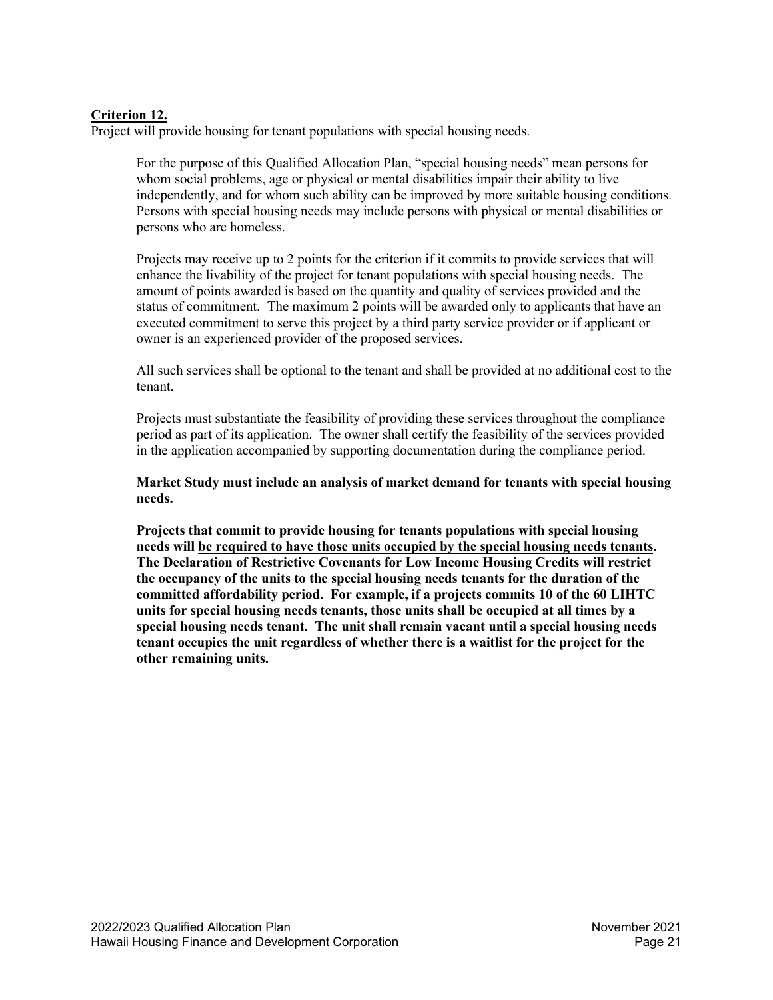# **Criterion 12.**

Project will provide housing for tenant populations with special housing needs.

For the purpose of this Qualified Allocation Plan, "special housing needs" mean persons for whom social problems, age or physical or mental disabilities impair their ability to live independently, and for whom such ability can be improved by more suitable housing conditions. Persons with special housing needs may include persons with physical or mental disabilities or persons who are homeless.

Projects may receive up to 2 points for the criterion if it commits to provide services that will enhance the livability of the project for tenant populations with special housing needs. The amount of points awarded is based on the quantity and quality of services provided and the status of commitment. The maximum 2 points will be awarded only to applicants that have an executed commitment to serve this project by a third party service provider or if applicant or owner is an experienced provider of the proposed services.

All such services shall be optional to the tenant and shall be provided at no additional cost to the tenant.

Projects must substantiate the feasibility of providing these services throughout the compliance period as part of its application. The owner shall certify the feasibility of the services provided in the application accompanied by supporting documentation during the compliance period.

**Market Study must include an analysis of market demand for tenants with special housing needs.**

**Projects that commit to provide housing for tenants populations with special housing needs will be required to have those units occupied by the special housing needs tenants. The Declaration of Restrictive Covenants for Low Income Housing Credits will restrict the occupancy of the units to the special housing needs tenants for the duration of the committed affordability period. For example, if a projects commits 10 of the 60 LIHTC units for special housing needs tenants, those units shall be occupied at all times by a special housing needs tenant. The unit shall remain vacant until a special housing needs tenant occupies the unit regardless of whether there is a waitlist for the project for the other remaining units.**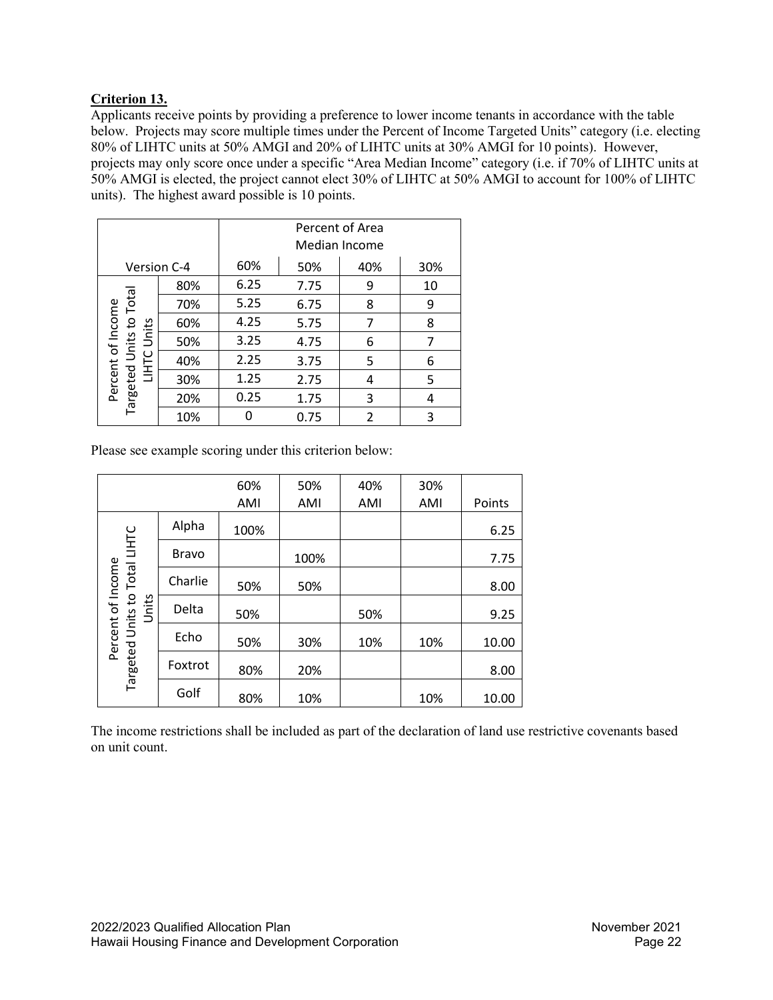# **Criterion 13.**

Applicants receive points by providing a preference to lower income tenants in accordance with the table below. Projects may score multiple times under the Percent of Income Targeted Units" category (i.e. electing 80% of LIHTC units at 50% AMGI and 20% of LIHTC units at 30% AMGI for 10 points). However, projects may only score once under a specific "Area Median Income" category (i.e. if 70% of LIHTC units at 50% AMGI is elected, the project cannot elect 30% of LIHTC at 50% AMGI to account for 100% of LIHTC units). The highest award possible is 10 points.

|                                     |     | Percent of Area<br>Median Income |      |     |     |
|-------------------------------------|-----|----------------------------------|------|-----|-----|
| Version C-4                         |     | 60%                              | 50%  | 40% | 30% |
|                                     | 80% | 6.25                             | 7.75 | 9   | 10  |
| Total                               | 70% | 5.25                             | 6.75 | 8   | 9   |
| S,                                  | 60% | 4.25                             | 5.75 | 7   | 8   |
| Percent of Income<br>Units<br>Units | 50% | 3.25                             | 4.75 | 6   |     |
| <b>LIHTC</b>                        | 40% | 2.25                             | 3.75 | 5   | 6   |
|                                     | 30% | 1.25                             | 2.75 | 4   | 5   |
| Targeted                            | 20% | 0.25                             | 1.75 | 3   | 4   |
|                                     | 10% |                                  | 0.75 | 2   | 3   |

Please see example scoring under this criterion below:

|                                                    |              | 60%  | 50%  | 40% | 30% |        |
|----------------------------------------------------|--------------|------|------|-----|-----|--------|
|                                                    |              | AMI  | AMI  | AMI | AMI | Points |
|                                                    | Alpha        | 100% |      |     |     | 6.25   |
|                                                    | <b>Bravo</b> |      | 100% |     |     | 7.75   |
|                                                    | Charlie      | 50%  | 50%  |     |     | 8.00   |
| Units                                              | Delta        | 50%  |      | 50% |     | 9.25   |
|                                                    | Echo         | 50%  | 30%  | 10% | 10% | 10.00  |
| Percent of Income<br>Targeted Units to Total LIHTC | Foxtrot      | 80%  | 20%  |     |     | 8.00   |
|                                                    | Golf         | 80%  | 10%  |     | 10% | 10.00  |

The income restrictions shall be included as part of the declaration of land use restrictive covenants based on unit count.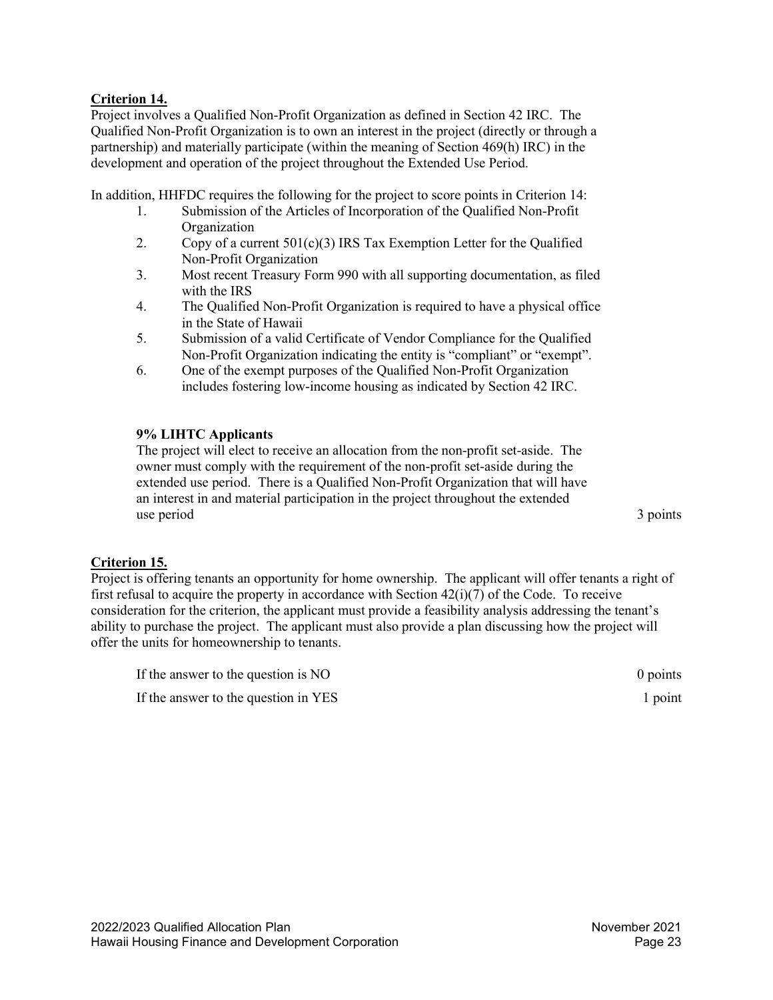# **Criterion 14.**

Project involves a Qualified Non-Profit Organization as defined in Section 42 IRC. The Qualified Non-Profit Organization is to own an interest in the project (directly or through a partnership) and materially participate (within the meaning of Section 469(h) IRC) in the development and operation of the project throughout the Extended Use Period.

In addition, HHFDC requires the following for the project to score points in Criterion 14:

- 1. Submission of the Articles of Incorporation of the Qualified Non-Profit **Organization**
- 2. Copy of a current  $501(c)(3)$  IRS Tax Exemption Letter for the Qualified Non-Profit Organization
- 3. Most recent Treasury Form 990 with all supporting documentation, as filed with the IRS
- 4. The Qualified Non-Profit Organization is required to have a physical office in the State of Hawaii
- 5. Submission of a valid Certificate of Vendor Compliance for the Qualified Non-Profit Organization indicating the entity is "compliant" or "exempt".
- 6. One of the exempt purposes of the Qualified Non-Profit Organization includes fostering low-income housing as indicated by Section 42 IRC.

#### **9% LIHTC Applicants**

The project will elect to receive an allocation from the non-profit set-aside. The owner must comply with the requirement of the non-profit set-aside during the extended use period. There is a Qualified Non-Profit Organization that will have an interest in and material participation in the project throughout the extended use period 3 points

#### **Criterion 15.**

Project is offering tenants an opportunity for home ownership. The applicant will offer tenants a right of first refusal to acquire the property in accordance with Section  $42(i)(7)$  of the Code. To receive consideration for the criterion, the applicant must provide a feasibility analysis addressing the tenant's ability to purchase the project. The applicant must also provide a plan discussing how the project will offer the units for homeownership to tenants.

| If the answer to the question is NO  | $0$ points |
|--------------------------------------|------------|
| If the answer to the question in YES | 1 point    |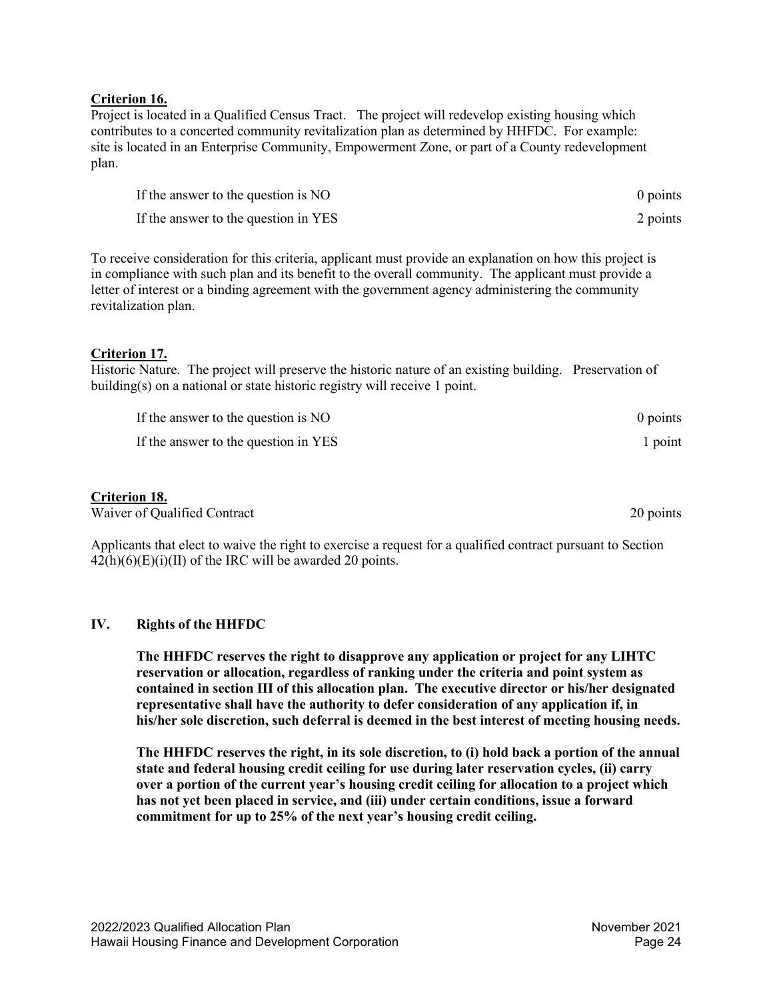#### **Criterion 16.**

Project is located in a Qualified Census Tract. The project will redevelop existing housing which contributes to a concerted community revitalization plan as determined by HHFDC. For example: site is located in an Enterprise Community, Empowerment Zone, or part of a County redevelopment plan.

| If the answer to the question is NO  | 0 points |
|--------------------------------------|----------|
| If the answer to the question in YES | 2 points |

To receive consideration for this criteria, applicant must provide an explanation on how this project is in compliance with such plan and its benefit to the overall community. The applicant must provide a letter of interest or a binding agreement with the government agency administering the community revitalization plan.

## **Criterion 17.**

Historic Nature. The project will preserve the historic nature of an existing building. Preservation of building(s) on a national or state historic registry will receive 1 point.

| If the answer to the question is NO  | 0 points |
|--------------------------------------|----------|
| If the answer to the question in YES | 1 point  |

# **Criterion 18.**

Waiver of Qualified Contract 20 points 20 points

Applicants that elect to waive the right to exercise a request for a qualified contract pursuant to Section  $42(h)(6)(E)(i)(II)$  of the IRC will be awarded 20 points.

#### <span id="page-23-0"></span>**IV. Rights of the HHFDC**

**The HHFDC reserves the right to disapprove any application or project for any LIHTC reservation or allocation, regardless of ranking under the criteria and point system as contained in section III of this allocation plan. The executive director or his/her designated representative shall have the authority to defer consideration of any application if, in his/her sole discretion, such deferral is deemed in the best interest of meeting housing needs.**

**The HHFDC reserves the right, in its sole discretion, to (i) hold back a portion of the annual state and federal housing credit ceiling for use during later reservation cycles, (ii) carry over a portion of the current year's housing credit ceiling for allocation to a project which has not yet been placed in service, and (iii) under certain conditions, issue a forward commitment for up to 25% of the next year's housing credit ceiling.**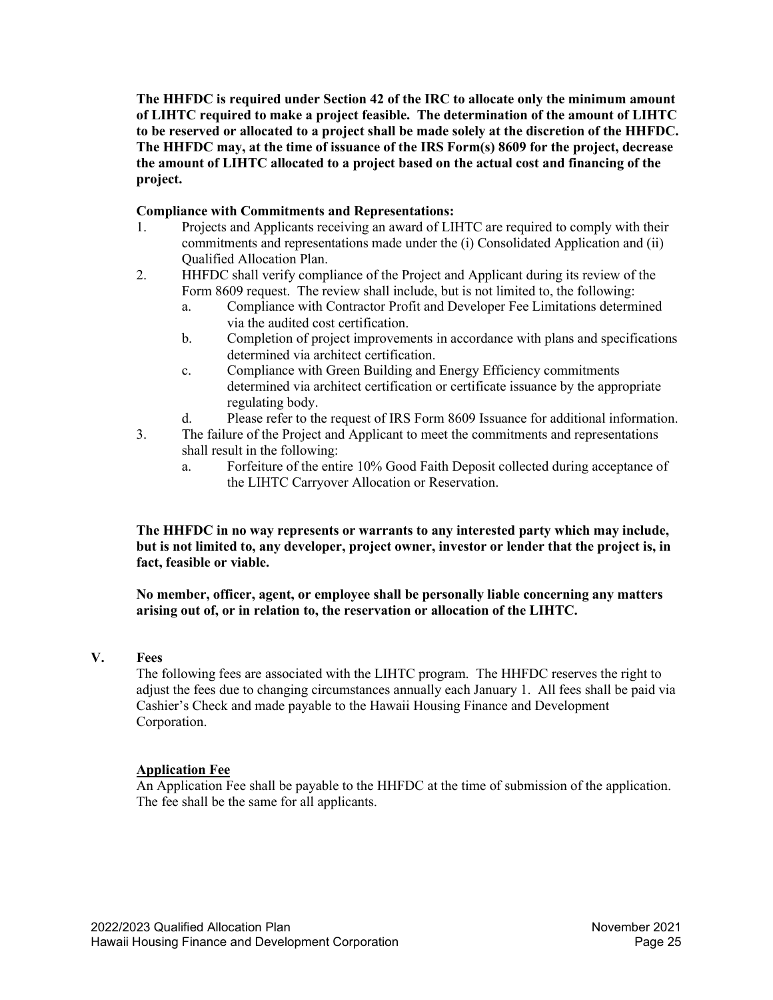**The HHFDC is required under Section 42 of the IRC to allocate only the minimum amount of LIHTC required to make a project feasible. The determination of the amount of LIHTC to be reserved or allocated to a project shall be made solely at the discretion of the HHFDC. The HHFDC may, at the time of issuance of the IRS Form(s) 8609 for the project, decrease the amount of LIHTC allocated to a project based on the actual cost and financing of the project.**

## **Compliance with Commitments and Representations:**

- 1. Projects and Applicants receiving an award of LIHTC are required to comply with their commitments and representations made under the (i) Consolidated Application and (ii) Qualified Allocation Plan.
- 2. HHFDC shall verify compliance of the Project and Applicant during its review of the Form 8609 request. The review shall include, but is not limited to, the following:
	- a. Compliance with Contractor Profit and Developer Fee Limitations determined via the audited cost certification.
	- b. Completion of project improvements in accordance with plans and specifications determined via architect certification.
	- c. Compliance with Green Building and Energy Efficiency commitments determined via architect certification or certificate issuance by the appropriate regulating body.
	- d. Please refer to the request of IRS Form 8609 Issuance for additional information.
- 3. The failure of the Project and Applicant to meet the commitments and representations shall result in the following:
	- a. Forfeiture of the entire 10% Good Faith Deposit collected during acceptance of the LIHTC Carryover Allocation or Reservation.

**The HHFDC in no way represents or warrants to any interested party which may include, but is not limited to, any developer, project owner, investor or lender that the project is, in fact, feasible or viable.**

**No member, officer, agent, or employee shall be personally liable concerning any matters arising out of, or in relation to, the reservation or allocation of the LIHTC.**

#### <span id="page-24-0"></span>**V. Fees**

The following fees are associated with the LIHTC program. The HHFDC reserves the right to adjust the fees due to changing circumstances annually each January 1. All fees shall be paid via Cashier's Check and made payable to the Hawaii Housing Finance and Development Corporation.

#### **Application Fee**

An Application Fee shall be payable to the HHFDC at the time of submission of the application. The fee shall be the same for all applicants.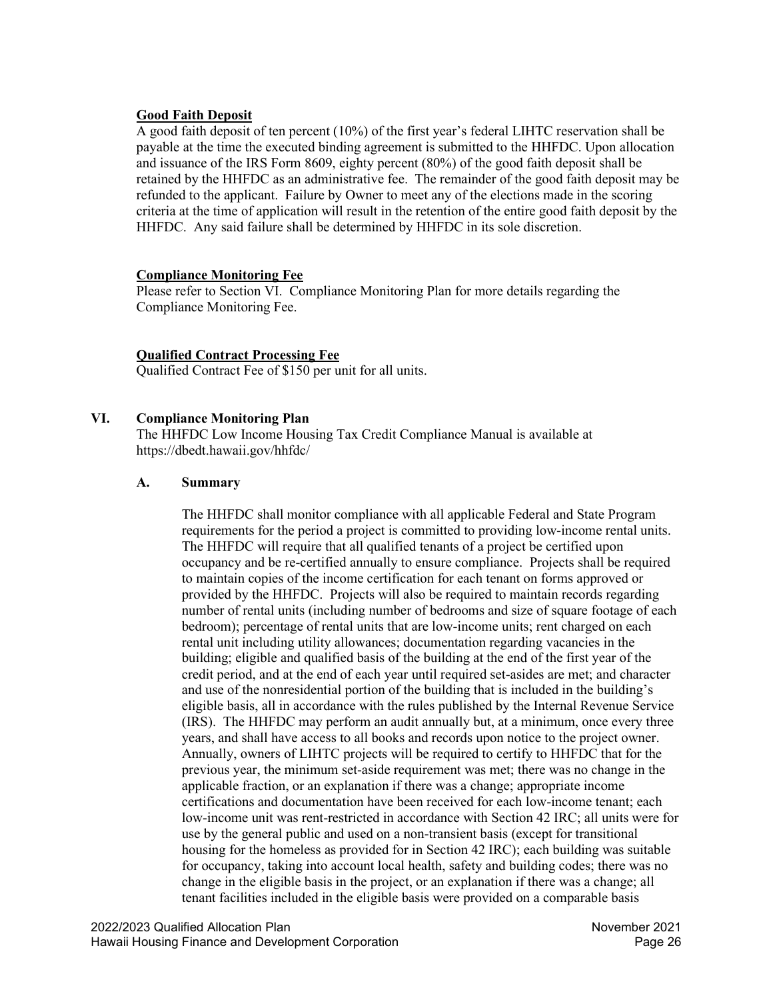## **Good Faith Deposit**

A good faith deposit of ten percent (10%) of the first year's federal LIHTC reservation shall be payable at the time the executed binding agreement is submitted to the HHFDC. Upon allocation and issuance of the IRS Form 8609, eighty percent (80%) of the good faith deposit shall be retained by the HHFDC as an administrative fee. The remainder of the good faith deposit may be refunded to the applicant. Failure by Owner to meet any of the elections made in the scoring criteria at the time of application will result in the retention of the entire good faith deposit by the HHFDC. Any said failure shall be determined by HHFDC in its sole discretion.

## **Compliance Monitoring Fee**

Please refer to Section VI. Compliance Monitoring Plan for more details regarding the Compliance Monitoring Fee.

## **Qualified Contract Processing Fee**

Qualified Contract Fee of \$150 per unit for all units.

# <span id="page-25-0"></span>**VI. Compliance Monitoring Plan**

The HHFDC Low Income Housing Tax Credit Compliance Manual is available at https://dbedt.hawaii.gov/hhfdc/

## <span id="page-25-1"></span>**A. Summary**

The HHFDC shall monitor compliance with all applicable Federal and State Program requirements for the period a project is committed to providing low-income rental units. The HHFDC will require that all qualified tenants of a project be certified upon occupancy and be re-certified annually to ensure compliance. Projects shall be required to maintain copies of the income certification for each tenant on forms approved or provided by the HHFDC. Projects will also be required to maintain records regarding number of rental units (including number of bedrooms and size of square footage of each bedroom); percentage of rental units that are low-income units; rent charged on each rental unit including utility allowances; documentation regarding vacancies in the building; eligible and qualified basis of the building at the end of the first year of the credit period, and at the end of each year until required set-asides are met; and character and use of the nonresidential portion of the building that is included in the building's eligible basis, all in accordance with the rules published by the Internal Revenue Service (IRS). The HHFDC may perform an audit annually but, at a minimum, once every three years, and shall have access to all books and records upon notice to the project owner. Annually, owners of LIHTC projects will be required to certify to HHFDC that for the previous year, the minimum set-aside requirement was met; there was no change in the applicable fraction, or an explanation if there was a change; appropriate income certifications and documentation have been received for each low-income tenant; each low-income unit was rent-restricted in accordance with Section 42 IRC; all units were for use by the general public and used on a non-transient basis (except for transitional housing for the homeless as provided for in Section 42 IRC); each building was suitable for occupancy, taking into account local health, safety and building codes; there was no change in the eligible basis in the project, or an explanation if there was a change; all tenant facilities included in the eligible basis were provided on a comparable basis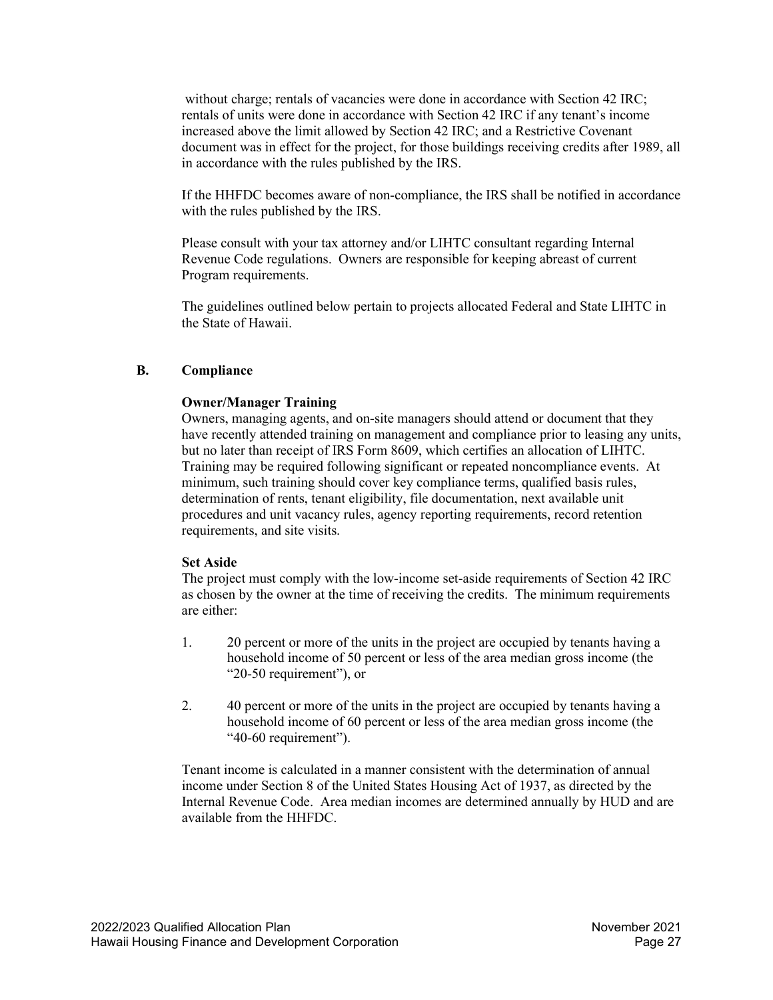without charge; rentals of vacancies were done in accordance with Section 42 IRC; rentals of units were done in accordance with Section 42 IRC if any tenant's income increased above the limit allowed by Section 42 IRC; and a Restrictive Covenant document was in effect for the project, for those buildings receiving credits after 1989, all in accordance with the rules published by the IRS.

If the HHFDC becomes aware of non-compliance, the IRS shall be notified in accordance with the rules published by the IRS.

Please consult with your tax attorney and/or LIHTC consultant regarding Internal Revenue Code regulations. Owners are responsible for keeping abreast of current Program requirements.

The guidelines outlined below pertain to projects allocated Federal and State LIHTC in the State of Hawaii.

#### <span id="page-26-0"></span>**B. Compliance**

#### **Owner/Manager Training**

Owners, managing agents, and on-site managers should attend or document that they have recently attended training on management and compliance prior to leasing any units, but no later than receipt of IRS Form 8609, which certifies an allocation of LIHTC. Training may be required following significant or repeated noncompliance events. At minimum, such training should cover key compliance terms, qualified basis rules, determination of rents, tenant eligibility, file documentation, next available unit procedures and unit vacancy rules, agency reporting requirements, record retention requirements, and site visits.

#### **Set Aside**

The project must comply with the low-income set-aside requirements of Section 42 IRC as chosen by the owner at the time of receiving the credits. The minimum requirements are either:

- 1. 20 percent or more of the units in the project are occupied by tenants having a household income of 50 percent or less of the area median gross income (the "20-50 requirement"), or
- 2. 40 percent or more of the units in the project are occupied by tenants having a household income of 60 percent or less of the area median gross income (the "40-60 requirement").

Tenant income is calculated in a manner consistent with the determination of annual income under Section 8 of the United States Housing Act of 1937, as directed by the Internal Revenue Code. Area median incomes are determined annually by HUD and are available from the HHFDC.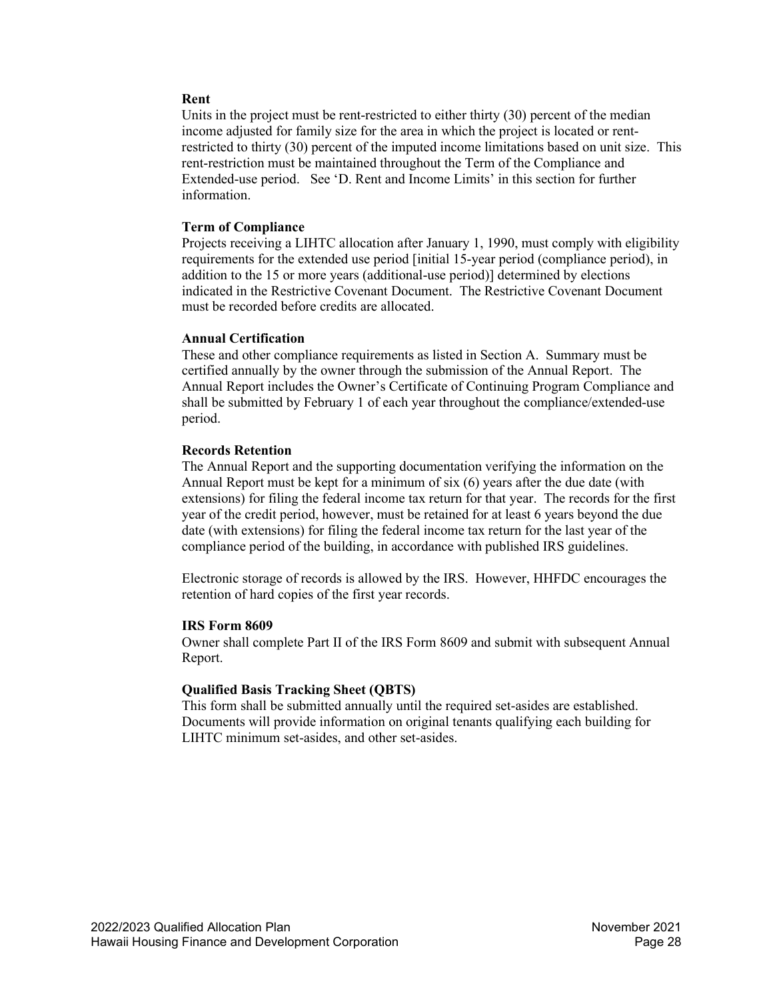#### **Rent**

Units in the project must be rent-restricted to either thirty (30) percent of the median income adjusted for family size for the area in which the project is located or rentrestricted to thirty (30) percent of the imputed income limitations based on unit size. This rent-restriction must be maintained throughout the Term of the Compliance and Extended-use period. See 'D. Rent and Income Limits' in this section for further information.

## **Term of Compliance**

Projects receiving a LIHTC allocation after January 1, 1990, must comply with eligibility requirements for the extended use period [initial 15-year period (compliance period), in addition to the 15 or more years (additional-use period)] determined by elections indicated in the Restrictive Covenant Document. The Restrictive Covenant Document must be recorded before credits are allocated.

## **Annual Certification**

These and other compliance requirements as listed in Section A. Summary must be certified annually by the owner through the submission of the Annual Report. The Annual Report includes the Owner's Certificate of Continuing Program Compliance and shall be submitted by February 1 of each year throughout the compliance/extended-use period.

## **Records Retention**

The Annual Report and the supporting documentation verifying the information on the Annual Report must be kept for a minimum of six (6) years after the due date (with extensions) for filing the federal income tax return for that year. The records for the first year of the credit period, however, must be retained for at least 6 years beyond the due date (with extensions) for filing the federal income tax return for the last year of the compliance period of the building, in accordance with published IRS guidelines.

Electronic storage of records is allowed by the IRS. However, HHFDC encourages the retention of hard copies of the first year records.

#### **IRS Form 8609**

Owner shall complete Part II of the IRS Form 8609 and submit with subsequent Annual Report.

#### **Qualified Basis Tracking Sheet (QBTS)**

This form shall be submitted annually until the required set-asides are established. Documents will provide information on original tenants qualifying each building for LIHTC minimum set-asides, and other set-asides.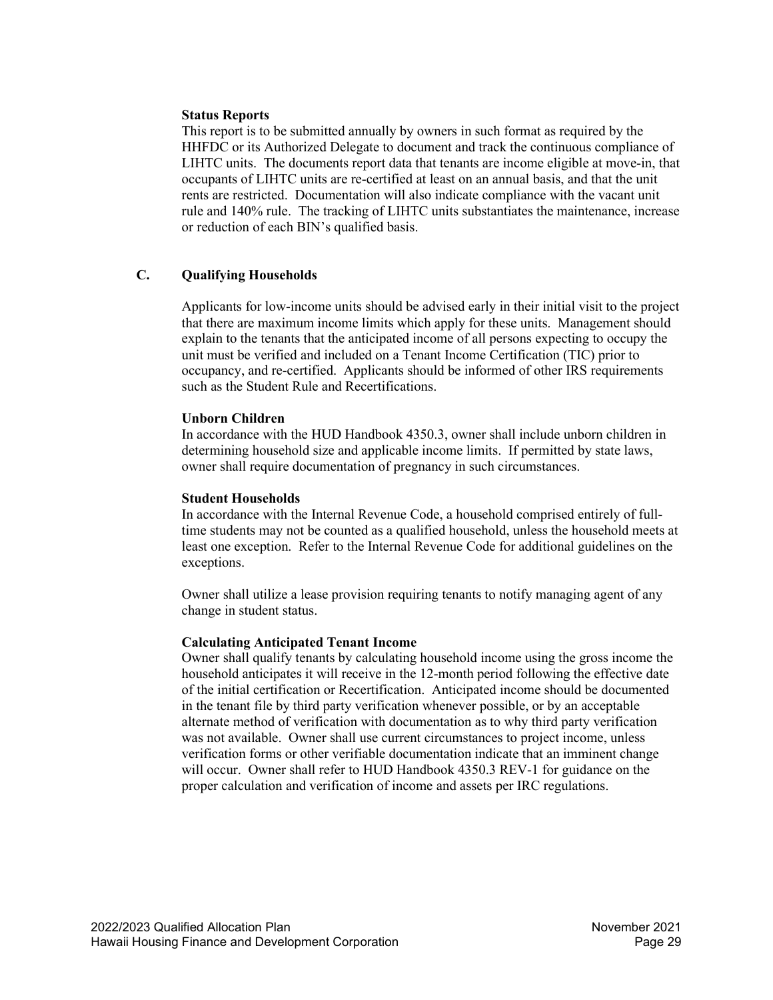#### **Status Reports**

This report is to be submitted annually by owners in such format as required by the HHFDC or its Authorized Delegate to document and track the continuous compliance of LIHTC units. The documents report data that tenants are income eligible at move-in, that occupants of LIHTC units are re-certified at least on an annual basis, and that the unit rents are restricted. Documentation will also indicate compliance with the vacant unit rule and 140% rule. The tracking of LIHTC units substantiates the maintenance, increase or reduction of each BIN's qualified basis.

#### <span id="page-28-0"></span>**C. Qualifying Households**

Applicants for low-income units should be advised early in their initial visit to the project that there are maximum income limits which apply for these units. Management should explain to the tenants that the anticipated income of all persons expecting to occupy the unit must be verified and included on a Tenant Income Certification (TIC) prior to occupancy, and re-certified. Applicants should be informed of other IRS requirements such as the Student Rule and Recertifications.

#### **Unborn Children**

In accordance with the HUD Handbook 4350.3, owner shall include unborn children in determining household size and applicable income limits. If permitted by state laws, owner shall require documentation of pregnancy in such circumstances.

#### **Student Households**

In accordance with the Internal Revenue Code, a household comprised entirely of fulltime students may not be counted as a qualified household, unless the household meets at least one exception. Refer to the Internal Revenue Code for additional guidelines on the exceptions.

Owner shall utilize a lease provision requiring tenants to notify managing agent of any change in student status.

#### **Calculating Anticipated Tenant Income**

Owner shall qualify tenants by calculating household income using the gross income the household anticipates it will receive in the 12-month period following the effective date of the initial certification or Recertification. Anticipated income should be documented in the tenant file by third party verification whenever possible, or by an acceptable alternate method of verification with documentation as to why third party verification was not available. Owner shall use current circumstances to project income, unless verification forms or other verifiable documentation indicate that an imminent change will occur. Owner shall refer to HUD Handbook 4350.3 REV-1 for guidance on the proper calculation and verification of income and assets per IRC regulations.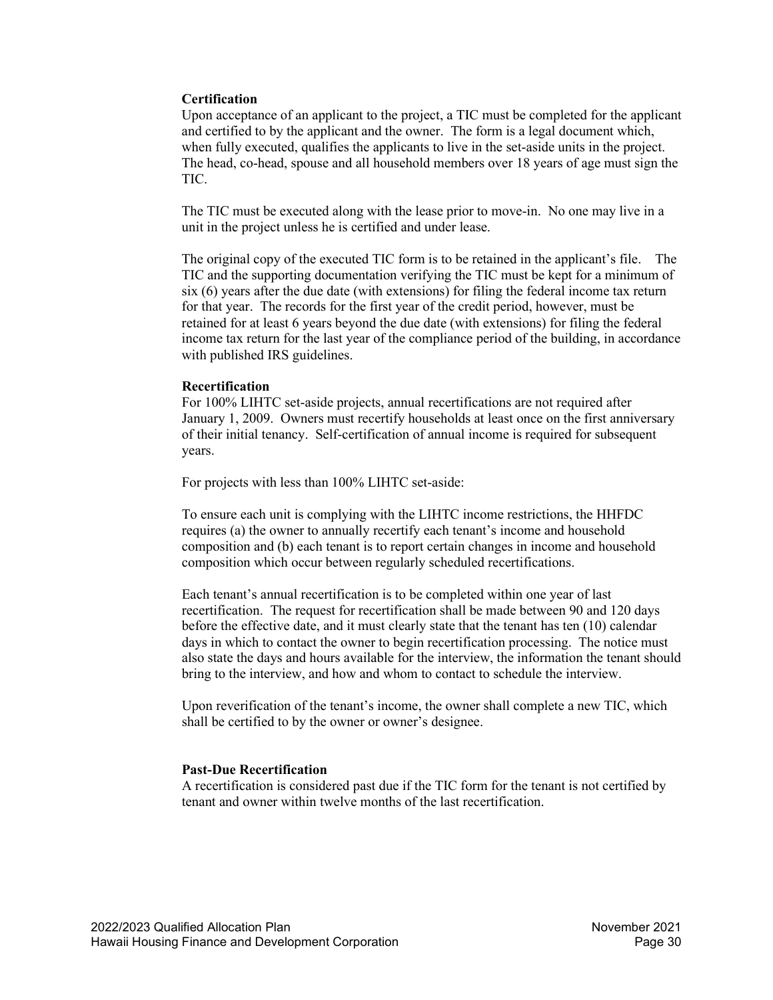#### **Certification**

Upon acceptance of an applicant to the project, a TIC must be completed for the applicant and certified to by the applicant and the owner. The form is a legal document which, when fully executed, qualifies the applicants to live in the set-aside units in the project. The head, co-head, spouse and all household members over 18 years of age must sign the TIC.

The TIC must be executed along with the lease prior to move-in. No one may live in a unit in the project unless he is certified and under lease.

The original copy of the executed TIC form is to be retained in the applicant's file. The TIC and the supporting documentation verifying the TIC must be kept for a minimum of six (6) years after the due date (with extensions) for filing the federal income tax return for that year. The records for the first year of the credit period, however, must be retained for at least 6 years beyond the due date (with extensions) for filing the federal income tax return for the last year of the compliance period of the building, in accordance with published IRS guidelines.

#### **Recertification**

For 100% LIHTC set-aside projects, annual recertifications are not required after January 1, 2009. Owners must recertify households at least once on the first anniversary of their initial tenancy. Self-certification of annual income is required for subsequent years.

For projects with less than 100% LIHTC set-aside:

To ensure each unit is complying with the LIHTC income restrictions, the HHFDC requires (a) the owner to annually recertify each tenant's income and household composition and (b) each tenant is to report certain changes in income and household composition which occur between regularly scheduled recertifications.

Each tenant's annual recertification is to be completed within one year of last recertification. The request for recertification shall be made between 90 and 120 days before the effective date, and it must clearly state that the tenant has ten (10) calendar days in which to contact the owner to begin recertification processing. The notice must also state the days and hours available for the interview, the information the tenant should bring to the interview, and how and whom to contact to schedule the interview.

Upon reverification of the tenant's income, the owner shall complete a new TIC, which shall be certified to by the owner or owner's designee.

#### **Past-Due Recertification**

A recertification is considered past due if the TIC form for the tenant is not certified by tenant and owner within twelve months of the last recertification.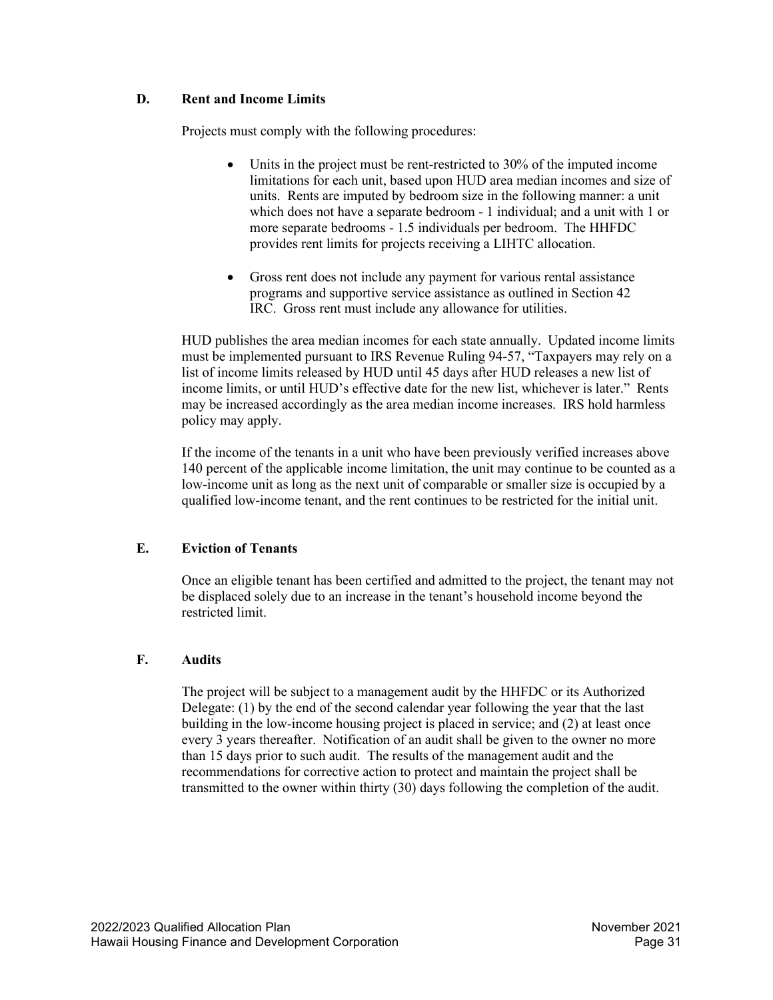# <span id="page-30-0"></span>**D. Rent and Income Limits**

Projects must comply with the following procedures:

- Units in the project must be rent-restricted to 30% of the imputed income limitations for each unit, based upon HUD area median incomes and size of units. Rents are imputed by bedroom size in the following manner: a unit which does not have a separate bedroom - 1 individual; and a unit with 1 or more separate bedrooms - 1.5 individuals per bedroom. The HHFDC provides rent limits for projects receiving a LIHTC allocation.
- Gross rent does not include any payment for various rental assistance programs and supportive service assistance as outlined in Section 42 IRC. Gross rent must include any allowance for utilities.

HUD publishes the area median incomes for each state annually. Updated income limits must be implemented pursuant to IRS Revenue Ruling 94-57, "Taxpayers may rely on a list of income limits released by HUD until 45 days after HUD releases a new list of income limits, or until HUD's effective date for the new list, whichever is later." Rents may be increased accordingly as the area median income increases. IRS hold harmless policy may apply.

If the income of the tenants in a unit who have been previously verified increases above 140 percent of the applicable income limitation, the unit may continue to be counted as a low-income unit as long as the next unit of comparable or smaller size is occupied by a qualified low-income tenant, and the rent continues to be restricted for the initial unit.

# <span id="page-30-1"></span>**E. Eviction of Tenants**

Once an eligible tenant has been certified and admitted to the project, the tenant may not be displaced solely due to an increase in the tenant's household income beyond the restricted limit.

# <span id="page-30-2"></span>**F. Audits**

The project will be subject to a management audit by the HHFDC or its Authorized Delegate: (1) by the end of the second calendar year following the year that the last building in the low-income housing project is placed in service; and (2) at least once every 3 years thereafter. Notification of an audit shall be given to the owner no more than 15 days prior to such audit. The results of the management audit and the recommendations for corrective action to protect and maintain the project shall be transmitted to the owner within thirty (30) days following the completion of the audit.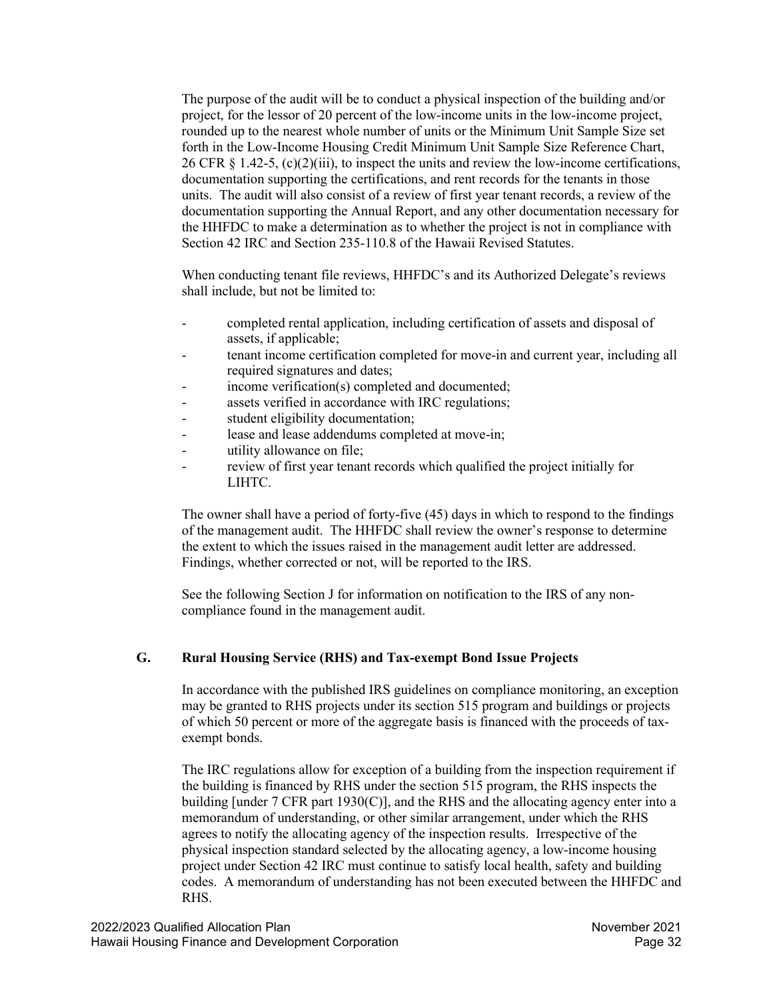The purpose of the audit will be to conduct a physical inspection of the building and/or project, for the lessor of 20 percent of the low-income units in the low-income project, rounded up to the nearest whole number of units or the Minimum Unit Sample Size set forth in the Low-Income Housing Credit Minimum Unit Sample Size Reference Chart, 26 CFR  $\S 1.42-5$ , (c)(2)(iii), to inspect the units and review the low-income certifications, documentation supporting the certifications, and rent records for the tenants in those units. The audit will also consist of a review of first year tenant records, a review of the documentation supporting the Annual Report, and any other documentation necessary for the HHFDC to make a determination as to whether the project is not in compliance with Section 42 IRC and Section 235-110.8 of the Hawaii Revised Statutes.

When conducting tenant file reviews, HHFDC's and its Authorized Delegate's reviews shall include, but not be limited to:

- completed rental application, including certification of assets and disposal of assets, if applicable;
- tenant income certification completed for move-in and current year, including all required signatures and dates;
- income verification(s) completed and documented;
- assets verified in accordance with IRC regulations;
- student eligibility documentation;
- lease and lease addendums completed at move-in;
- utility allowance on file;
- review of first year tenant records which qualified the project initially for LIHTC.

The owner shall have a period of forty-five (45) days in which to respond to the findings of the management audit. The HHFDC shall review the owner's response to determine the extent to which the issues raised in the management audit letter are addressed. Findings, whether corrected or not, will be reported to the IRS.

See the following Section J for information on notification to the IRS of any noncompliance found in the management audit.

#### <span id="page-31-0"></span>**G. Rural Housing Service (RHS) and Tax-exempt Bond Issue Projects**

In accordance with the published IRS guidelines on compliance monitoring, an exception may be granted to RHS projects under its section 515 program and buildings or projects of which 50 percent or more of the aggregate basis is financed with the proceeds of taxexempt bonds.

The IRC regulations allow for exception of a building from the inspection requirement if the building is financed by RHS under the section 515 program, the RHS inspects the building [under  $7$  CFR part 1930(C)], and the RHS and the allocating agency enter into a memorandum of understanding, or other similar arrangement, under which the RHS agrees to notify the allocating agency of the inspection results. Irrespective of the physical inspection standard selected by the allocating agency, a low-income housing project under Section 42 IRC must continue to satisfy local health, safety and building codes. A memorandum of understanding has not been executed between the HHFDC and RHS.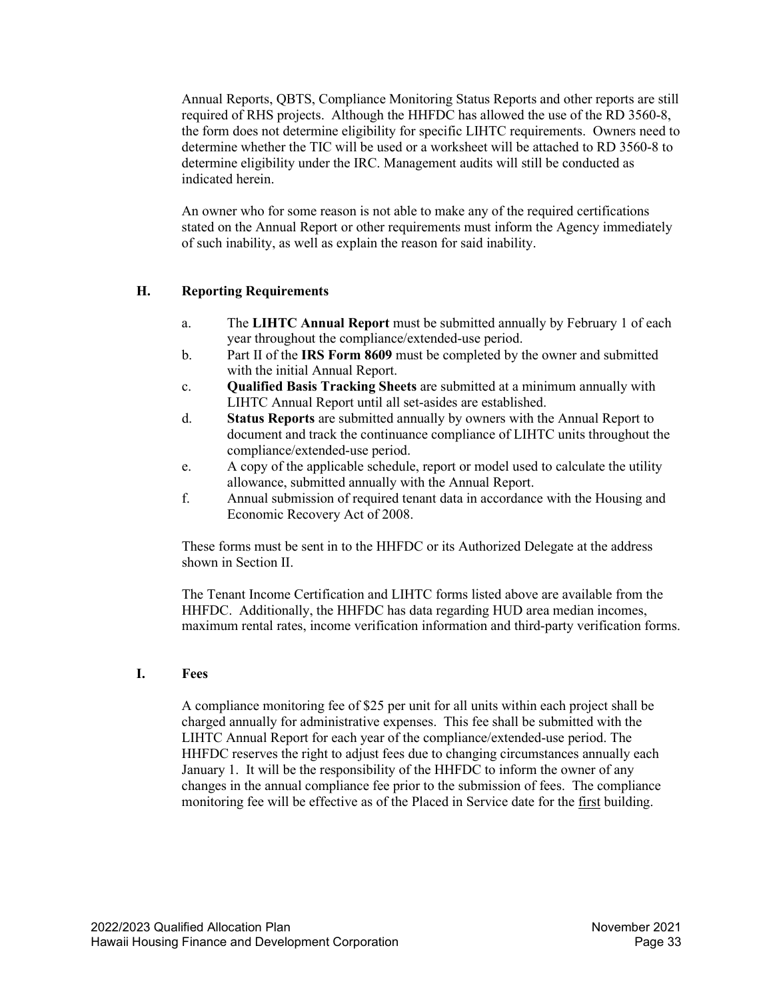Annual Reports, QBTS, Compliance Monitoring Status Reports and other reports are still required of RHS projects. Although the HHFDC has allowed the use of the RD 3560-8, the form does not determine eligibility for specific LIHTC requirements. Owners need to determine whether the TIC will be used or a worksheet will be attached to RD 3560-8 to determine eligibility under the IRC. Management audits will still be conducted as indicated herein.

An owner who for some reason is not able to make any of the required certifications stated on the Annual Report or other requirements must inform the Agency immediately of such inability, as well as explain the reason for said inability.

## <span id="page-32-0"></span>**H. Reporting Requirements**

- a. The **LIHTC Annual Report** must be submitted annually by February 1 of each year throughout the compliance/extended-use period.
- b. Part II of the **IRS Form 8609** must be completed by the owner and submitted with the initial Annual Report.
- c. **Qualified Basis Tracking Sheets** are submitted at a minimum annually with LIHTC Annual Report until all set-asides are established.
- d. **Status Reports** are submitted annually by owners with the Annual Report to document and track the continuance compliance of LIHTC units throughout the compliance/extended-use period.
- e. A copy of the applicable schedule, report or model used to calculate the utility allowance, submitted annually with the Annual Report.
- f. Annual submission of required tenant data in accordance with the Housing and Economic Recovery Act of 2008.

These forms must be sent in to the HHFDC or its Authorized Delegate at the address shown in Section II.

The Tenant Income Certification and LIHTC forms listed above are available from the HHFDC. Additionally, the HHFDC has data regarding HUD area median incomes, maximum rental rates, income verification information and third-party verification forms.

#### <span id="page-32-1"></span>**I. Fees**

A compliance monitoring fee of \$25 per unit for all units within each project shall be charged annually for administrative expenses. This fee shall be submitted with the LIHTC Annual Report for each year of the compliance/extended-use period. The HHFDC reserves the right to adjust fees due to changing circumstances annually each January 1. It will be the responsibility of the HHFDC to inform the owner of any changes in the annual compliance fee prior to the submission of fees. The compliance monitoring fee will be effective as of the Placed in Service date for the first building.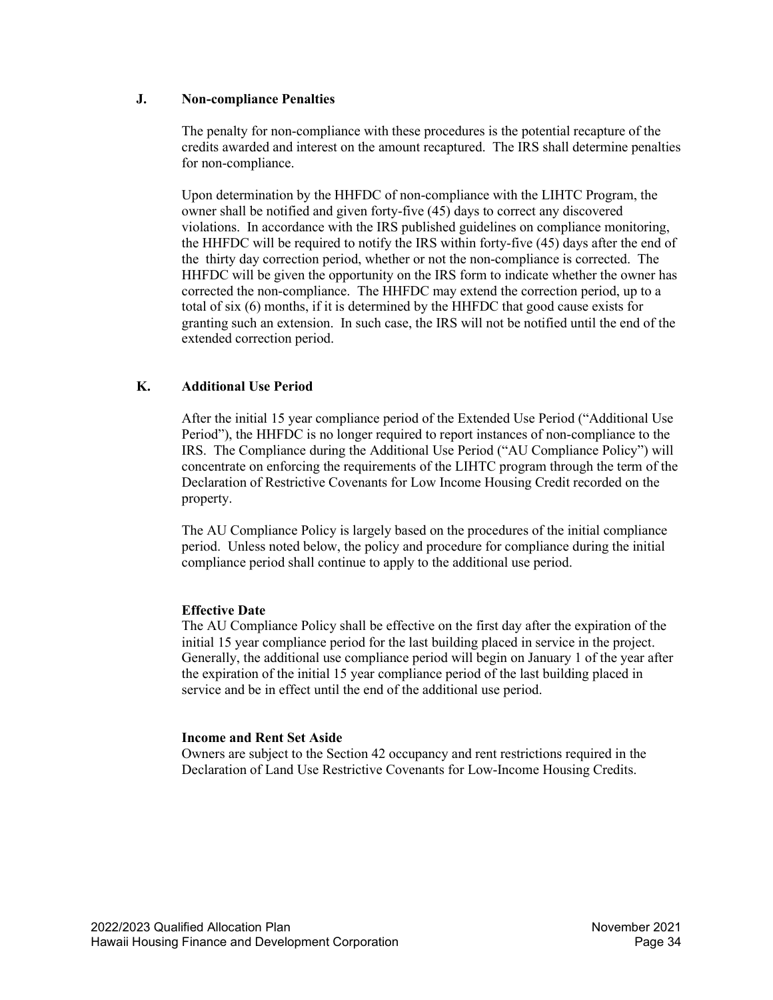#### <span id="page-33-0"></span>**J. Non-compliance Penalties**

The penalty for non-compliance with these procedures is the potential recapture of the credits awarded and interest on the amount recaptured. The IRS shall determine penalties for non-compliance.

Upon determination by the HHFDC of non-compliance with the LIHTC Program, the owner shall be notified and given forty-five (45) days to correct any discovered violations. In accordance with the IRS published guidelines on compliance monitoring, the HHFDC will be required to notify the IRS within forty-five (45) days after the end of the thirty day correction period, whether or not the non-compliance is corrected. The HHFDC will be given the opportunity on the IRS form to indicate whether the owner has corrected the non-compliance. The HHFDC may extend the correction period, up to a total of six (6) months, if it is determined by the HHFDC that good cause exists for granting such an extension. In such case, the IRS will not be notified until the end of the extended correction period.

# <span id="page-33-1"></span>**K. Additional Use Period**

After the initial 15 year compliance period of the Extended Use Period ("Additional Use Period"), the HHFDC is no longer required to report instances of non-compliance to the IRS. The Compliance during the Additional Use Period ("AU Compliance Policy") will concentrate on enforcing the requirements of the LIHTC program through the term of the Declaration of Restrictive Covenants for Low Income Housing Credit recorded on the property.

The AU Compliance Policy is largely based on the procedures of the initial compliance period. Unless noted below, the policy and procedure for compliance during the initial compliance period shall continue to apply to the additional use period.

#### **Effective Date**

The AU Compliance Policy shall be effective on the first day after the expiration of the initial 15 year compliance period for the last building placed in service in the project. Generally, the additional use compliance period will begin on January 1 of the year after the expiration of the initial 15 year compliance period of the last building placed in service and be in effect until the end of the additional use period.

#### **Income and Rent Set Aside**

Owners are subject to the Section 42 occupancy and rent restrictions required in the Declaration of Land Use Restrictive Covenants for Low-Income Housing Credits.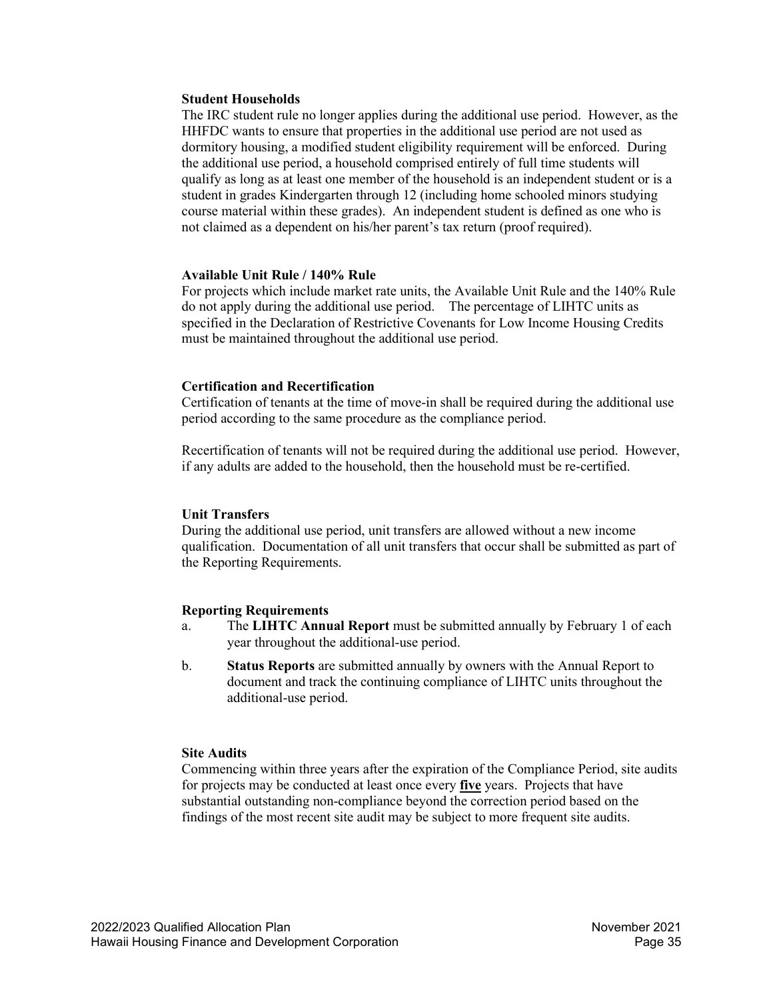#### **Student Households**

The IRC student rule no longer applies during the additional use period. However, as the HHFDC wants to ensure that properties in the additional use period are not used as dormitory housing, a modified student eligibility requirement will be enforced. During the additional use period, a household comprised entirely of full time students will qualify as long as at least one member of the household is an independent student or is a student in grades Kindergarten through 12 (including home schooled minors studying course material within these grades). An independent student is defined as one who is not claimed as a dependent on his/her parent's tax return (proof required).

#### **Available Unit Rule / 140% Rule**

For projects which include market rate units, the Available Unit Rule and the 140% Rule do not apply during the additional use period. The percentage of LIHTC units as specified in the Declaration of Restrictive Covenants for Low Income Housing Credits must be maintained throughout the additional use period.

#### **Certification and Recertification**

Certification of tenants at the time of move-in shall be required during the additional use period according to the same procedure as the compliance period.

Recertification of tenants will not be required during the additional use period. However, if any adults are added to the household, then the household must be re-certified.

#### **Unit Transfers**

During the additional use period, unit transfers are allowed without a new income qualification. Documentation of all unit transfers that occur shall be submitted as part of the Reporting Requirements.

#### **Reporting Requirements**

- a. The **LIHTC Annual Report** must be submitted annually by February 1 of each year throughout the additional-use period.
- b. **Status Reports** are submitted annually by owners with the Annual Report to document and track the continuing compliance of LIHTC units throughout the additional-use period.

#### **Site Audits**

Commencing within three years after the expiration of the Compliance Period, site audits for projects may be conducted at least once every **five** years. Projects that have substantial outstanding non-compliance beyond the correction period based on the findings of the most recent site audit may be subject to more frequent site audits.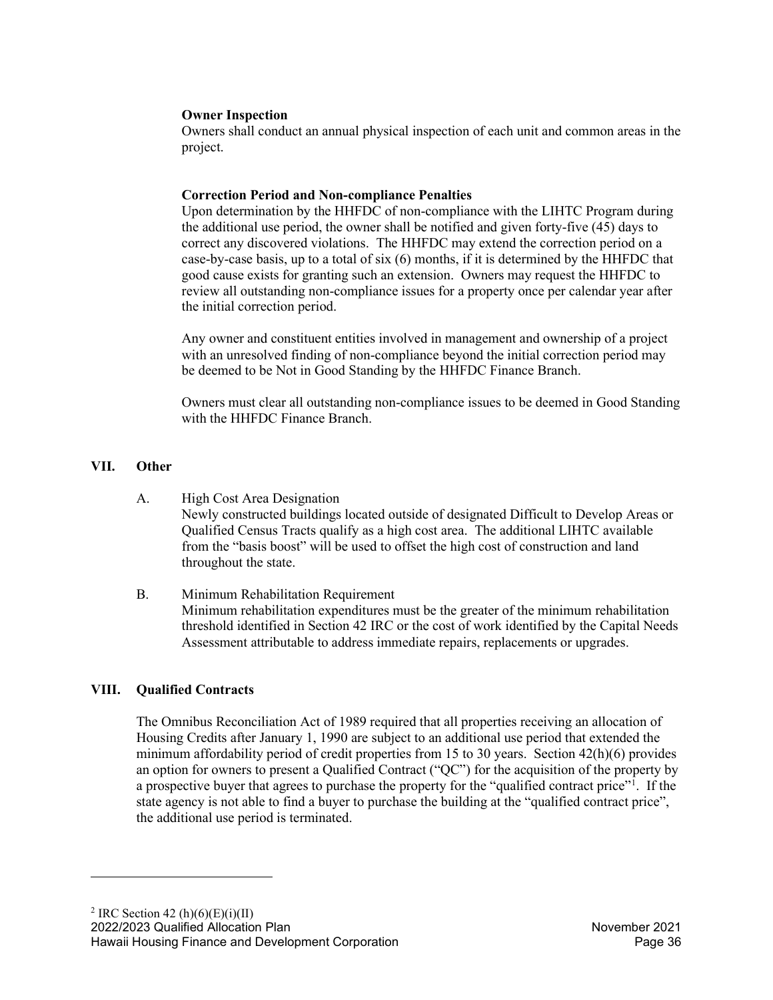#### **Owner Inspection**

Owners shall conduct an annual physical inspection of each unit and common areas in the project.

## **Correction Period and Non-compliance Penalties**

Upon determination by the HHFDC of non-compliance with the LIHTC Program during the additional use period, the owner shall be notified and given forty-five (45) days to correct any discovered violations. The HHFDC may extend the correction period on a case-by-case basis, up to a total of six (6) months, if it is determined by the HHFDC that good cause exists for granting such an extension. Owners may request the HHFDC to review all outstanding non-compliance issues for a property once per calendar year after the initial correction period.

Any owner and constituent entities involved in management and ownership of a project with an unresolved finding of non-compliance beyond the initial correction period may be deemed to be Not in Good Standing by the HHFDC Finance Branch.

Owners must clear all outstanding non-compliance issues to be deemed in Good Standing with the HHFDC Finance Branch.

# <span id="page-35-0"></span>**VII. Other**

- A. High Cost Area Designation Newly constructed buildings located outside of designated Difficult to Develop Areas or Qualified Census Tracts qualify as a high cost area. The additional LIHTC available from the "basis boost" will be used to offset the high cost of construction and land throughout the state.
- B. Minimum Rehabilitation Requirement Minimum rehabilitation expenditures must be the greater of the minimum rehabilitation threshold identified in Section 42 IRC or the cost of work identified by the Capital Needs Assessment attributable to address immediate repairs, replacements or upgrades.

# <span id="page-35-1"></span>**VIII. Qualified Contracts**

<span id="page-35-2"></span>The Omnibus Reconciliation Act of 1989 required that all properties receiving an allocation of Housing Credits after January 1, 1990 are subject to an additional use period that extended the minimum affordability period of credit properties from 15 to 30 years. Section 42(h)(6) provides an option for owners to present a Qualified Contract ("QC") for the acquisition of the property by a prospective buyer that agrees to purchase the property for the "qualified contract price["1](#page-35-2) . If the state agency is not able to find a buyer to purchase the building at the "qualified contract price", the additional use period is terminated.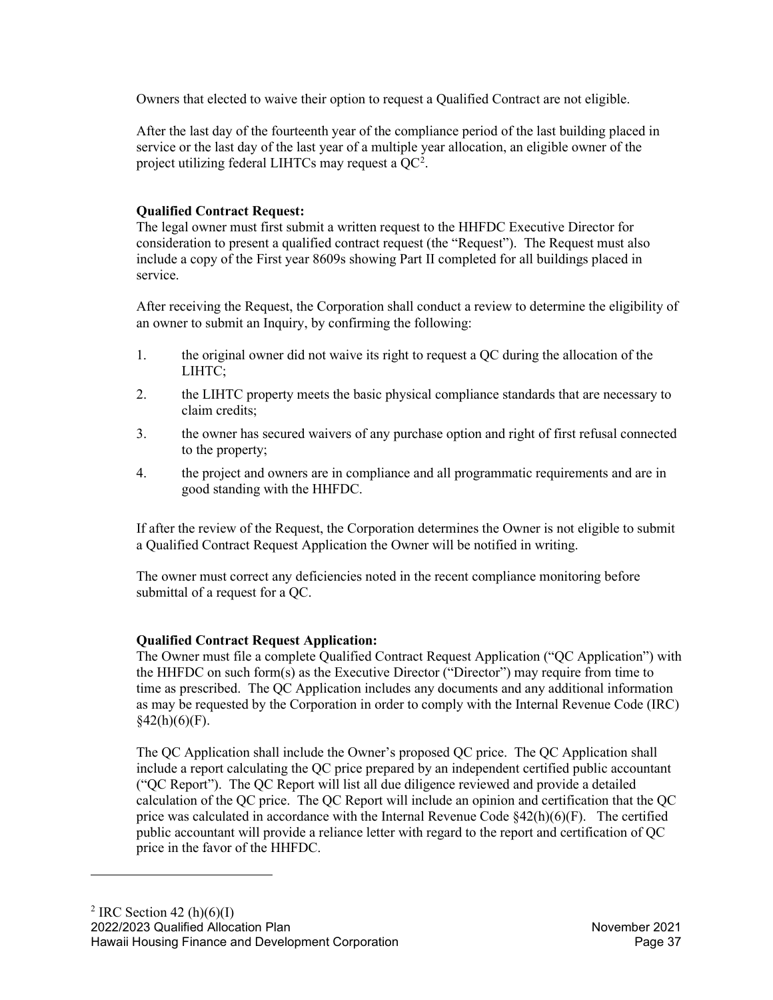Owners that elected to waive their option to request a Qualified Contract are not eligible.

After the last day of the fourteenth year of the compliance period of the last building placed in service or the last day of the last year of a multiple year allocation, an eligible owner of the project utilizing federal LIHTCs may request a  $QC^2$  $QC^2$ .

# **Qualified Contract Request:**

The legal owner must first submit a written request to the HHFDC Executive Director for consideration to present a qualified contract request (the "Request"). The Request must also include a copy of the First year 8609s showing Part II completed for all buildings placed in service.

After receiving the Request, the Corporation shall conduct a review to determine the eligibility of an owner to submit an Inquiry, by confirming the following:

- 1. the original owner did not waive its right to request a QC during the allocation of the LIHTC;
- 2. the LIHTC property meets the basic physical compliance standards that are necessary to claim credits;
- 3. the owner has secured waivers of any purchase option and right of first refusal connected to the property;
- 4. the project and owners are in compliance and all programmatic requirements and are in good standing with the HHFDC.

If after the review of the Request, the Corporation determines the Owner is not eligible to submit a Qualified Contract Request Application the Owner will be notified in writing.

The owner must correct any deficiencies noted in the recent compliance monitoring before submittal of a request for a QC.

# **Qualified Contract Request Application:**

The Owner must file a complete Qualified Contract Request Application ("QC Application") with the HHFDC on such form(s) as the Executive Director ("Director") may require from time to time as prescribed. The QC Application includes any documents and any additional information as may be requested by the Corporation in order to comply with the Internal Revenue Code (IRC)  $§42(h)(6)(F).$ 

<span id="page-36-0"></span>The QC Application shall include the Owner's proposed QC price. The QC Application shall include a report calculating the QC price prepared by an independent certified public accountant ("QC Report"). The QC Report will list all due diligence reviewed and provide a detailed calculation of the QC price. The QC Report will include an opinion and certification that the QC price was calculated in accordance with the Internal Revenue Code  $\frac{2(4)}{10}$ (6)(F). The certified public accountant will provide a reliance letter with regard to the report and certification of QC price in the favor of the HHFDC.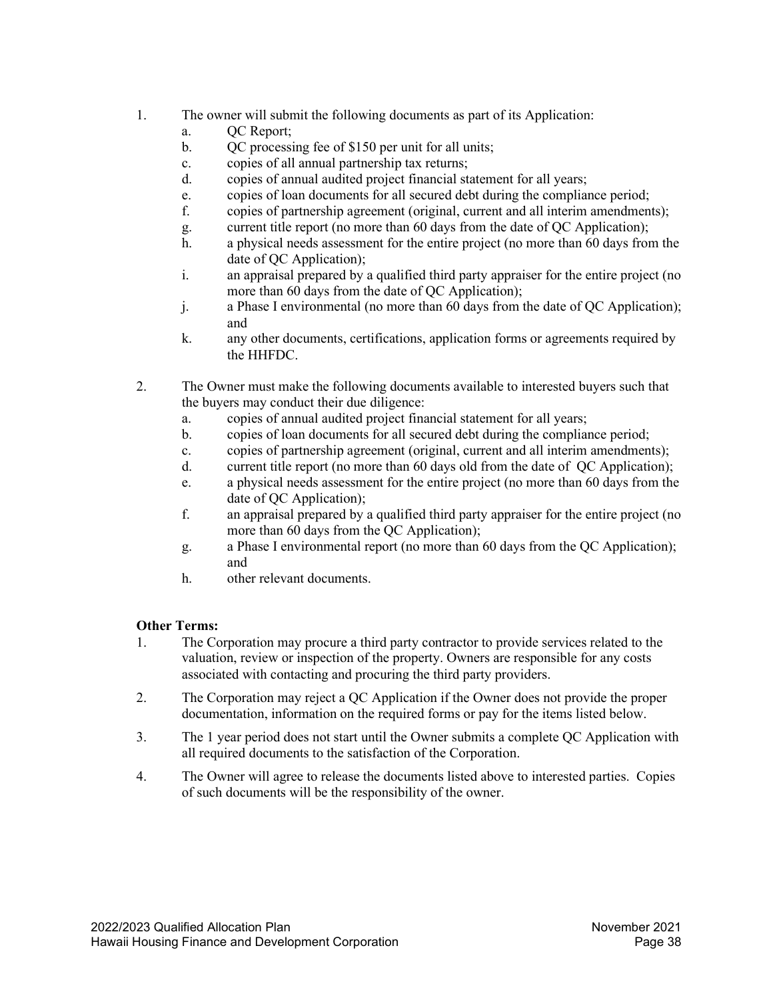- 1. The owner will submit the following documents as part of its Application:
	- a. OC Report;
	- b. QC processing fee of \$150 per unit for all units;
	- c. copies of all annual partnership tax returns;
	- d. copies of annual audited project financial statement for all years;
	- e. copies of loan documents for all secured debt during the compliance period;
	- f. copies of partnership agreement (original, current and all interim amendments);
	- g. current title report (no more than 60 days from the date of QC Application);
	- h. a physical needs assessment for the entire project (no more than 60 days from the date of QC Application);
	- i. an appraisal prepared by a qualified third party appraiser for the entire project (no more than 60 days from the date of QC Application);
	- j. a Phase I environmental (no more than 60 days from the date of QC Application); and
	- k. any other documents, certifications, application forms or agreements required by the HHFDC.
- 2. The Owner must make the following documents available to interested buyers such that the buyers may conduct their due diligence:
	- a. copies of annual audited project financial statement for all years;
	- b. copies of loan documents for all secured debt during the compliance period;
	- c. copies of partnership agreement (original, current and all interim amendments);
	- d. current title report (no more than 60 days old from the date of QC Application);
	- e. a physical needs assessment for the entire project (no more than 60 days from the date of QC Application);
	- f. an appraisal prepared by a qualified third party appraiser for the entire project (no more than 60 days from the QC Application);
	- g. a Phase I environmental report (no more than 60 days from the QC Application); and
	- h. other relevant documents.

# **Other Terms:**

- 1. The Corporation may procure a third party contractor to provide services related to the valuation, review or inspection of the property. Owners are responsible for any costs associated with contacting and procuring the third party providers.
- 2. The Corporation may reject a QC Application if the Owner does not provide the proper documentation, information on the required forms or pay for the items listed below.
- 3. The 1 year period does not start until the Owner submits a complete QC Application with all required documents to the satisfaction of the Corporation.
- 4. The Owner will agree to release the documents listed above to interested parties. Copies of such documents will be the responsibility of the owner.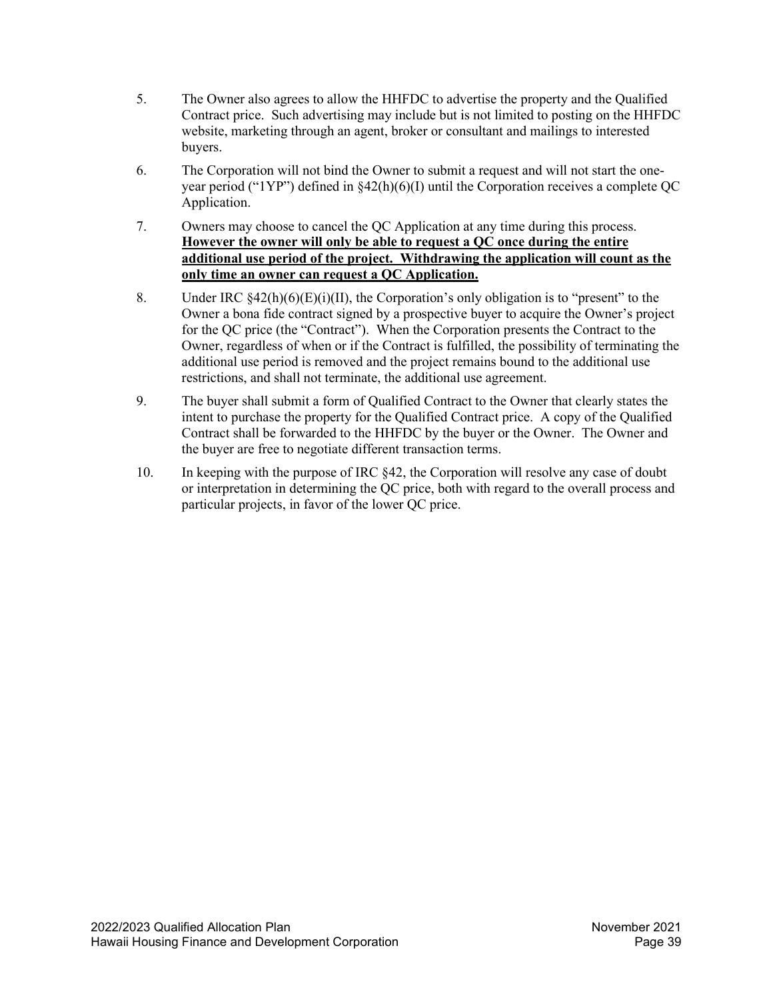- 5. The Owner also agrees to allow the HHFDC to advertise the property and the Qualified Contract price. Such advertising may include but is not limited to posting on the HHFDC website, marketing through an agent, broker or consultant and mailings to interested buyers.
- 6. The Corporation will not bind the Owner to submit a request and will not start the oneyear period ("1YP") defined in §42(h)(6)(I) until the Corporation receives a complete QC Application.
- 7. Owners may choose to cancel the QC Application at any time during this process. **However the owner will only be able to request a QC once during the entire additional use period of the project. Withdrawing the application will count as the only time an owner can request a QC Application.**
- 8. Under IRC  $\S 42(h)(6)(E)(i)(II)$ , the Corporation's only obligation is to "present" to the Owner a bona fide contract signed by a prospective buyer to acquire the Owner's project for the QC price (the "Contract"). When the Corporation presents the Contract to the Owner, regardless of when or if the Contract is fulfilled, the possibility of terminating the additional use period is removed and the project remains bound to the additional use restrictions, and shall not terminate, the additional use agreement.
- 9. The buyer shall submit a form of Qualified Contract to the Owner that clearly states the intent to purchase the property for the Qualified Contract price. A copy of the Qualified Contract shall be forwarded to the HHFDC by the buyer or the Owner. The Owner and the buyer are free to negotiate different transaction terms.
- 10. In keeping with the purpose of IRC §42, the Corporation will resolve any case of doubt or interpretation in determining the QC price, both with regard to the overall process and particular projects, in favor of the lower QC price.